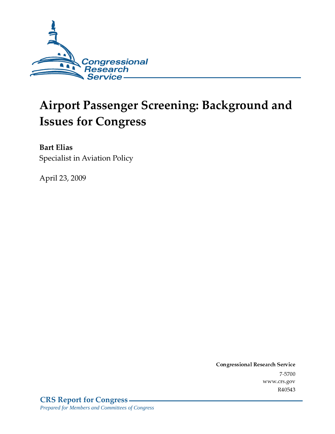

# Airport Passenger Screening: Background and **Issues for Congress**

**Bart Elias** Specialist in Aviation Policy

April 23, 2009

Conglessional Research Service  $7 - 2700$ www.crs.gov R40543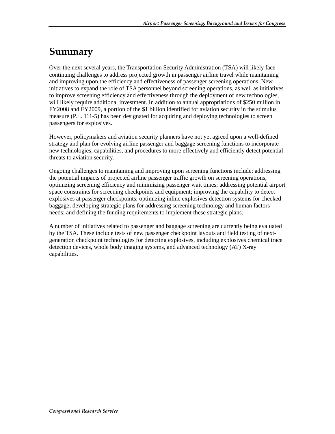# Summary

Over the next several years, the Transportation Security Administration (TSA) will likely face continuing challenges to address projected growth in passenger airline travel while maintaining and improving upon the efficiency and effectiveness of passenger screening operations. New initiatives to expand the role of TSA personnel beyond screening operations, as well as initiatives to improve screening efficiency and effectiveness through the deployment of new technologies, will likely require additional investment. In addition to annual appropriations of \$250 million in FY2008 and FY2009, a portion of the \$1 billion identified for aviation security in the stimulus measure (P.L. 111-5) has been designated for acquiring and deploying technologies to screen passengers for explosives.

However, policymakers and aviation security planners have not yet agreed upon a well-defined strategy and plan for evolving airline passenger and baggage screening functions to incorporate new technologies, capabilities, and procedures to more effectively and efficiently detect potential threats to aviation security.

Ongoing challenges to maintaining and improving upon screening functions include: addressing the potential impacts of projected airline passenger traffic growth on screening operations; optimizing screening efficiency and minimizing passenger wait times; addressing potential airport space constraints for screening checkpoints and equipment; improving the capability to detect explosives at passenger checkpoints; optimizing inline explosives detection systems for checked baggage; developing strategic plans for addressing screening technology and human factors needs; and defining the funding requirements to implement these strategic plans.

A number of initiatives related to passenger and baggage screening are currently being evaluated by the TSA. These include tests of new passenger checkpoint layouts and field testing of nextgeneration checkpoint technologies for detecting explosives, including explosives chemical trace detection devices, whole body imaging systems, and advanced technology (AT) X-ray capabilities.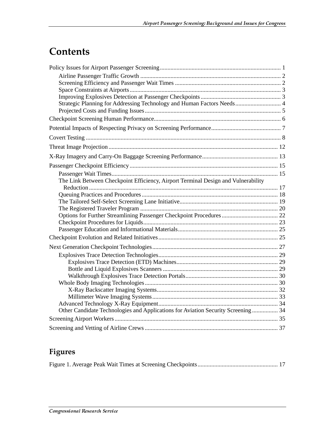# **Contents**

| Strategic Planning for Addressing Technology and Human Factors Needs 4            |  |
|-----------------------------------------------------------------------------------|--|
|                                                                                   |  |
|                                                                                   |  |
|                                                                                   |  |
|                                                                                   |  |
|                                                                                   |  |
|                                                                                   |  |
|                                                                                   |  |
|                                                                                   |  |
| The Link Between Checkpoint Efficiency, Airport Terminal Design and Vulnerability |  |
|                                                                                   |  |
|                                                                                   |  |
|                                                                                   |  |
|                                                                                   |  |
|                                                                                   |  |
|                                                                                   |  |
|                                                                                   |  |
|                                                                                   |  |
|                                                                                   |  |
|                                                                                   |  |
|                                                                                   |  |
|                                                                                   |  |
|                                                                                   |  |
|                                                                                   |  |
|                                                                                   |  |
|                                                                                   |  |
| Other Candidate Technologies and Applications for Aviation Security Screening 34  |  |
|                                                                                   |  |
|                                                                                   |  |

#### Figures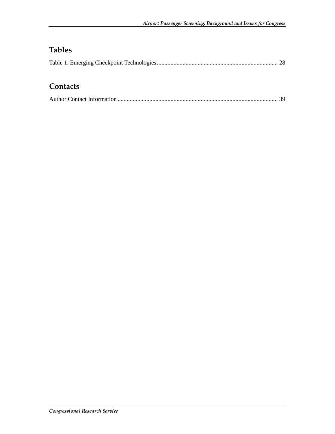### **Tables**

|--|--|

### Contacts

|--|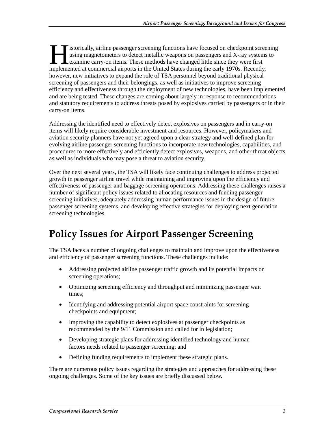istorically, airline passenger screening functions have focused on checkpoint screening using magnetometers to detect metallic weapons on passengers and X-ray systems to examine carry-on items. These methods have changed little since they were first istorically, airline passenger screening functions have focused on checkpoint scree<br>using magnetometers to detect metallic weapons on passengers and X-ray systems<br>examine carry-on items. These methods have changed little s however, new initiatives to expand the role of TSA personnel beyond traditional physical screening of passengers and their belongings, as well as initiatives to improve screening efficiency and effectiveness through the deployment of new technologies, have been implemented and are being tested. These changes are coming about largely in response to recommendations and statutory requirements to address threats posed by explosives carried by passengers or in their carry-on items.

Addressing the identified need to effectively detect explosives on passengers and in carry-on items will likely require considerable investment and resources. However, policymakers and aviation security planners have not yet agreed upon a clear strategy and well-defined plan for evolving airline passenger screening functions to incorporate new technologies, capabilities, and procedures to more effectively and efficiently detect explosives, weapons, and other threat objects as well as individuals who may pose a threat to aviation security.

Over the next several years, the TSA will likely face continuing challenges to address projected growth in passenger airline travel while maintaining and improving upon the efficiency and effectiveness of passenger and baggage screening operations. Addressing these challenges raises a number of significant policy issues related to allocating resources and funding passenger screening initiatives, adequately addressing human performance issues in the design of future passenger screening systems, and developing effective strategies for deploying next generation screening technologies.

# **Policy Issues for Airport Passenger Screening**

The TSA faces a number of ongoing challenges to maintain and improve upon the effectiveness and efficiency of passenger screening functions. These challenges include:

- Addressing projected airline passenger traffic growth and its potential impacts on screening operations;
- Optimizing screening efficiency and throughput and minimizing passenger wait times;
- Identifying and addressing potential airport space constraints for screening checkpoints and equipment;
- Improving the capability to detect explosives at passenger checkpoints as recommended by the 9/11 Commission and called for in legislation;
- Developing strategic plans for addressing identified technology and human factors needs related to passenger screening; and
- Defining funding requirements to implement these strategic plans.

There are numerous policy issues regarding the strategies and approaches for addressing these ongoing challenges. Some of the key issues are briefly discussed below.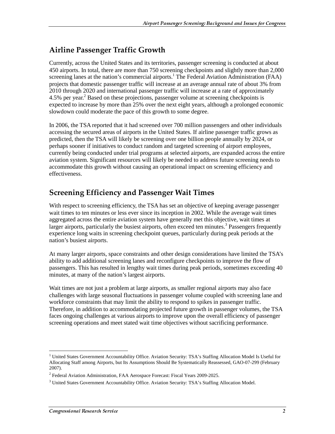#### Airline Passenger Traffic Growth

Currently, across the United States and its territories, passenger screening is conducted at about 450 airports. In total, there are more than 750 screening checkpoints and slightly more than 2,000 screening lanes at the nation's commercial airports.<sup>1</sup> The Federal Aviation Administration (FAA) projects that domestic passenger traffic will increase at an average annual rate of about 3% from 2010 through 2020 and international passenger traffic will increase at a rate of approximately 4.5% per year.<sup>2</sup> Based on these projections, passenger volume at screening checkpoints is expected to increase by more than 25% over the next eight years, although a prolonged economic slowdown could moderate the pace of this growth to some degree.

In 2006, the TSA reported that it had screened over 700 million passengers and other individuals accessing the secured areas of airports in the United States. If airline passenger traffic grows as predicted, then the TSA will likely be screening over one billion people annually by 2024, or perhaps sooner if initiatives to conduct random and targeted screening of airport employees, currently being conducted under trial programs at selected airports, are expanded across the entire aviation system. Significant resources will likely be needed to address future screening needs to accommodate this growth without causing an operational impact on screening efficiency and effectiveness.

#### Screening Efficiency and Passenger Wait Times

With respect to screening efficiency, the TSA has set an objective of keeping average passenger wait times to ten minutes or less ever since its inception in 2002. While the average wait times aggregated across the entire aviation system have generally met this objective, wait times at larger airports, particularly the busiest airports, often exceed ten minutes.<sup>3</sup> Passengers frequently experience long waits in screening checkpoint queues, particularly during peak periods at the nation's busiest airports.

At many larger airports, space constraints and other design considerations have limited the TSA's ability to add additional screening lanes and reconfigure checkpoints to improve the flow of passengers. This has resulted in lengthy wait times during peak periods, sometimes exceeding 40 minutes, at many of the nation's largest airports.

Wait times are not just a problem at large airports, as smaller regional airports may also face challenges with large seasonal fluctuations in passenger volume coupled with screening lane and workforce constraints that may limit the ability to respond to spikes in passenger traffic. Therefore, in addition to accommodating projected future growth in passenger volumes, the TSA faces ongoing challenges at various airports to improve upon the overall efficiency of passenger screening operations and meet stated wait time objectives without sacrificing performance.

<sup>&</sup>lt;sup>1</sup> United States Government Accountability Office. Aviation Security: TSA's Staffing Allocation Model Is Useful for Allocating Staff among Airports, but Its Assumptions Should Be Systematically Reassessed, GAO-07-299 (February 2007).

<sup>&</sup>lt;sup>2</sup> Federal Aviation Administration, FAA Aerospace Forecast: Fiscal Years 2009-2025.

<sup>&</sup>lt;sup>3</sup> United States Government Accountability Office. Aviation Security: TSA's Staffing Allocation Model.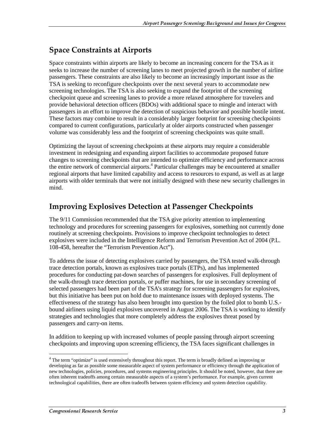#### **Space Constraints at Airports**

Space constraints within airports are likely to become an increasing concern for the TSA as it seeks to increase the number of screening lanes to meet projected growth in the number of airline passengers. These constraints are also likely to become an increasingly important issue as the TSA is seeking to reconfigure checkpoints over the next several years to accommodate new screening technologies. The TSA is also seeking to expand the footprint of the screening checkpoint queue and screening lanes to provide a more relaxed atmosphere for travelers and provide behavioral detection officers (BDOs) with additional space to mingle and interact with passengers in an effort to improve the detection of suspicious behavior and possible hostile intent. These factors may combine to result in a considerably larger footprint for screening checkpoints compared to current configurations, particularly at older airports constructed when passenger volume was considerably less and the footprint of screening checkpoints was quite small.

Optimizing the layout of screening checkpoints at these airports may require a considerable investment in redesigning and expanding airport facilities to accommodate proposed future changes to screening checkpoints that are intended to optimize efficiency and performance across the entire network of commercial airports.<sup>4</sup> Particular challenges may be encountered at smaller regional airports that have limited capability and access to resources to expand, as well as at large airports with older terminals that were not initially designed with these new security challenges in mind.

#### Improving Explosives Detection at Passenger Checkpoints

The 9/11 Commission recommended that the TSA give priority attention to implementing technology and procedures for screening passengers for explosives, something not currently done routinely at screening checkpoints. Provisions to improve checkpoint technologies to detect explosives were included in the Intelligence Reform and Terrorism Prevention Act of 2004 (P.L. 108-458, hereafter the "Terrorism Prevention Act").

To address the issue of detecting explosives carried by passengers, the TSA tested walk-through trace detection portals, known as explosives trace portals (ETPs), and has implemented procedures for conducting pat-down searches of passengers for explosives. Full deployment of the walk-through trace detection portals, or puffer machines, for use in secondary screening of selected passengers had been part of the TSA's strategy for screening passengers for explosives, but this initiative has been put on hold due to maintenance issues with deployed systems. The effectiveness of the strategy has also been brought into question by the foiled plot to bomb U.S. bound airliners using liquid explosives uncovered in August 2006. The TSA is working to identify strategies and technologies that more completely address the explosives threat posed by passengers and carry-on items.

In addition to keeping up with increased volumes of people passing through airport screening checkpoints and improving upon screening efficiency, the TSA faces significant challenges in

 4 The term "optimize" is used extensively throughout this report. The term is broadly defined as improving or developing as far as possible some measurable aspect of system performance or efficiency through the application of new technologies, policies, procedures, and systems engineering principles. It should be noted, however, that there are often inherent tradeoffs among certain measurable aspects of a system's performance. For example, given current technological capabilities, there are often tradeoffs between system efficiency and system detection capability.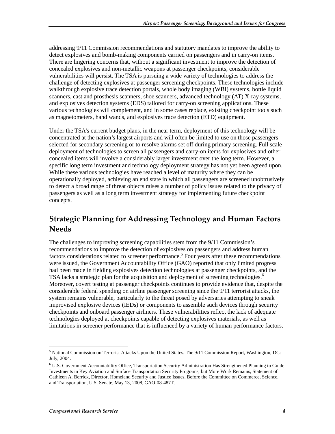addressing 9/11 Commission recommendations and statutory mandates to improve the ability to detect explosives and bomb-making components carried on passengers and in carry-on items. There are lingering concerns that, without a significant investment to improve the detection of concealed explosives and non-metallic weapons at passenger checkpoints, considerable vulnerabilities will persist. The TSA is pursuing a wide variety of technologies to address the challenge of detecting explosives at passenger screening checkpoints. These technologies include walkthrough explosive trace detection portals, whole body imaging (WBI) systems, bottle liquid scanners, cast and prosthesis scanners, shoe scanners, advanced technology (AT) X-ray systems, and explosives detection systems (EDS) tailored for carry-on screening applications. These various technologies will complement, and in some cases replace, existing checkpoint tools such as magnetometers, hand wands, and explosives trace detection (ETD) equipment.

Under the TSA's current budget plans, in the near term, deployment of this technology will be concentrated at the nation's largest airports and will often be limited to use on those passengers selected for secondary screening or to resolve alarms set off during primary screening. Full scale deployment of technologies to screen all passengers and carry-on items for explosives and other concealed items will involve a considerably larger investment over the long term. However, a specific long term investment and technology deployment strategy has not yet been agreed upon. While these various technologies have reached a level of maturity where they can be operationally deployed, achieving an end state in which all passengers are screened unobtrusively to detect a broad range of threat objects raises a number of policy issues related to the privacy of passengers as well as a long term investment strategy for implementing future checkpoint concepts.

### Strategic Planning for Addressing Technology and Human Factors Needs

The challenges to improving screening capabilities stem from the 9/11 Commission's recommendations to improve the detection of explosives on passengers and address human factors considerations related to screener performance.<sup>5</sup> Four years after these recommendations were issued, the Government Accountability Office (GAO) reported that only limited progress had been made in fielding explosives detection technologies at passenger checkpoints, and the TSA lacks a strategic plan for the acquisition and deployment of screening technologies.<sup>6</sup> Moreover, covert testing at passenger checkpoints continues to provide evidence that, despite the considerable federal spending on airline passenger screening since the 9/11 terrorist attacks, the system remains vulnerable, particularly to the threat posed by adversaries attempting to sneak improvised explosive devices (IEDs) or components to assemble such devices through security checkpoints and onboard passenger airliners. These vulnerabilities reflect the lack of adequate technologies deployed at checkpoints capable of detecting explosives materials, as well as limitations in screener performance that is influenced by a variety of human performance factors.

 5 National Commission on Terrorist Attacks Upon the United States. The 9/11 Commission Report, Washington, DC: July, 2004.

<sup>&</sup>lt;sup>6</sup> U.S. Government Accountability Office, Transportation Security Administration Has Strengthened Planning to Guide Investments in Key Aviation and Surface Transportation Security Programs, but More Work Remains, Statement of Cathleen A. Berrick, Director, Homeland Security and Justice Issues, Before the Committee on Commerce, Science, and Transportation, U.S. Senate, May 13, 2008, GAO-08-487T.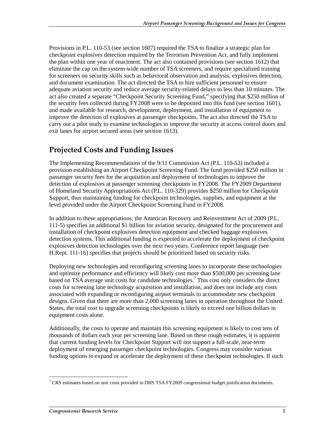Provisions in P.L. 110-53 (see section 1607) required the TSA to finalize a strategic plan for checkpoint explosives detection required by the Terrorism Prevention Act, and fully implement the plan within one year of enactment. The act also contained provisions (see section 1612) that eliminate the cap on the system-wide number of TSA screeners, and require specialized training for screeners on security skills such as behavioral observation and analysis, explosives detection, and document examination. The act directed the TSA to hire sufficient personnel to ensure adequate aviation security and reduce average security-related delays to less than 10 minutes. The act also created a separate "Checkpoint Security Screening Fund," specifying that \$250 million of the security fees collected during FY2008 were to be deposited into this fund (see section 1601), and made available for research, development, deployment, and installation of equipment to improve the detection of explosives at passenger checkpoints. The act also directed the TSA to carry out a pilot study to examine technologies to improve the security at access control doors and exit lanes for airport secured areas (see section 1613).

### Projected Costs and Funding Issues

The Implementing Recommendations of the 9/11 Commission Act (P.L. 110-53) included a provision establishing an Airport Checkpoint Screening Fund. The fund provided \$250 million in passenger security fees for the acquisition and deployment of technologies to improve the detection of explosives at passenger screening checkpoints in FY2008. The FY2009 Department of Homeland Security Appropriations Act (P.L. 110-329) provides \$250 million for Checkpoint Support, thus maintaining funding for checkpoint technologies, supplies, and equipment at the level provided under the Airport Checkpoint Screening Fund in FY2008.

In addition to these appropriations, the American Recovery and Reinvestment Act of 2009 (P.L. 111-5) specifies an additional \$1 billion for aviation security, designated for the procurement and installation of checkpoint explosives detection equipment and checked baggage explosives detection systems. This additional funding is expected to accelerate the deployment of checkpoint explosives detection technologies over the next two years. Conference report language (see H.Rept. 111-16) specifies that projects should be prioritized based on security risks.

Deploying new technologies and reconfiguring screening lanes to incorporate these technologies and optimize performance and efficiency will likely cost more than \$500,000 per screening lane based on TSA average unit costs for candidate technologies.<sup>7</sup> This cost only considers the direct costs for screening lane technology acquisition and installation, and does not include any costs associated with expanding or reconfiguring airport terminals to accommodate new checkpoint designs. Given that there are more than 2,000 screening lanes in operation throughout the United States, the total cost to upgrade screening checkpoints is likely to exceed one billion dollars in equipment costs alone.

Additionally, the costs to operate and maintain this screening equipment is likely to cost tens of thousands of dollars each year per screening lane. Based on these rough estimates, it is apparent that current funding levels for Checkpoint Support will not support a full-scale, near-term deployment of emerging passenger checkpoint technologies. Congress may consider various funding options to expand or accelerate the deployment of these checkpoint technologies. If such

<sup>&</sup>lt;sup>7</sup> CRS estimates based on unit costs provided in DHS TSA FY2009 congressional budget justification documents.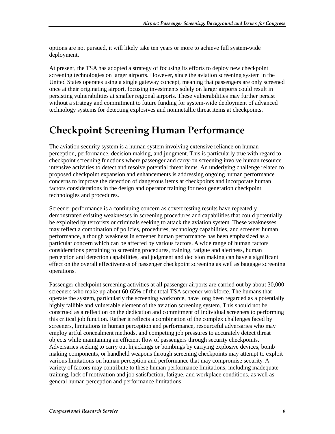options are not pursued, it will likely take ten years or more to achieve full system-wide deployment.

At present, the TSA has adopted a strategy of focusing its efforts to deploy new checkpoint screening technologies on larger airports. However, since the aviation screening system in the United States operates using a single gateway concept, meaning that passengers are only screened once at their originating airport, focusing investments solely on larger airports could result in persisting vulnerabilities at smaller regional airports. These vulnerabilities may further persist without a strategy and commitment to future funding for system-wide deployment of advanced technology systems for detecting explosives and nonmetallic threat items at checkpoints.

### **Checkpoint Screening Human Performance**

The aviation security system is a human system involving extensive reliance on human perception, performance, decision making, and judgment. This is particularly true with regard to checkpoint screening functions where passenger and carry-on screening involve human resource intensive activities to detect and resolve potential threat items. An underlying challenge related to proposed checkpoint expansion and enhancements is addressing ongoing human performance concerns to improve the detection of dangerous items at checkpoints and incorporate human factors considerations in the design and operator training for next generation checkpoint technologies and procedures.

Screener performance is a continuing concern as covert testing results have repeatedly demonstrated existing weaknesses in screening procedures and capabilities that could potentially be exploited by terrorists or criminals seeking to attack the aviation system. These weaknesses may reflect a combination of policies, procedures, technology capabilities, and screener human performance, although weakness in screener human performance has been emphasized as a particular concern which can be affected by various factors. A wide range of human factors considerations pertaining to screening procedures, training, fatigue and alertness, human perception and detection capabilities, and judgment and decision making can have a significant effect on the overall effectiveness of passenger checkpoint screening as well as baggage screening operations.

Passenger checkpoint screening activities at all passenger airports are carried out by about 30,000 screeners who make up about 60-65% of the total TSA screener workforce. The humans that operate the system, particularly the screening workforce, have long been regarded as a potentially highly fallible and vulnerable element of the aviation screening system. This should not be construed as a reflection on the dedication and commitment of individual screeners to performing this critical job function. Rather it reflects a combination of the complex challenges faced by screeners, limitations in human perception and performance, resourceful adversaries who may employ artful concealment methods, and competing job pressures to accurately detect threat objects while maintaining an efficient flow of passengers through security checkpoints. Adversaries seeking to carry out hijackings or bombings by carrying explosive devices, bomb making components, or handheld weapons through screening checkpoints may attempt to exploit various limitations on human perception and performance that may compromise security. A variety of factors may contribute to these human performance limitations, including inadequate training, lack of motivation and job satisfaction, fatigue, and workplace conditions, as well as general human perception and performance limitations.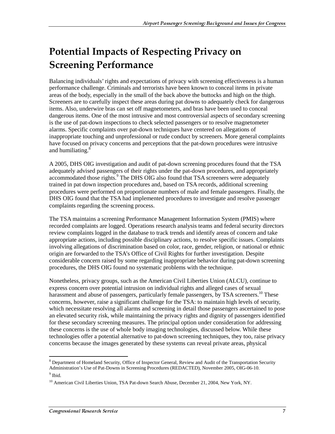# Potential Impacts of Respecting Privacy on **Screening Performance**

Balancing individuals' rights and expectations of privacy with screening effectiveness is a human performance challenge. Criminals and terrorists have been known to conceal items in private areas of the body, especially in the small of the back above the buttocks and high on the thigh. Screeners are to carefully inspect these areas during pat downs to adequately check for dangerous items. Also, underwire bras can set off magnetometers, and bras have been used to conceal dangerous items. One of the most intrusive and most controversial aspects of secondary screening is the use of pat-down inspections to check selected passengers or to resolve magnetometer alarms. Specific complaints over pat-down techniques have centered on allegations of inappropriate touching and unprofessional or rude conduct by screeners. More general complaints have focused on privacy concerns and perceptions that the pat-down procedures were intrusive and humiliating.<sup>8</sup>

A 2005, DHS OIG investigation and audit of pat-down screening procedures found that the TSA adequately advised passengers of their rights under the pat-down procedures, and appropriately accommodated those rights.<sup>9</sup> The DHS OIG also found that TSA screeners were adequately trained in pat down inspection procedures and, based on TSA records, additional screening procedures were performed on proportionate numbers of male and female passengers. Finally, the DHS OIG found that the TSA had implemented procedures to investigate and resolve passenger complaints regarding the screening process.

The TSA maintains a screening Performance Management Information System (PMIS) where recorded complaints are logged. Operations research analysis teams and federal security directors review complaints logged in the database to track trends and identify areas of concern and take appropriate actions, including possible disciplinary actions, to resolve specific issues. Complaints involving allegations of discrimination based on color, race, gender, religion, or national or ethnic origin are forwarded to the TSA's Office of Civil Rights for further investigation. Despite considerable concern raised by some regarding inappropriate behavior during pat-down screening procedures, the DHS OIG found no systematic problems with the technique.

Nonetheless, privacy groups, such as the American Civil Liberties Union (ALCU), continue to express concern over potential intrusion on individual rights and alleged cases of sexual harassment and abuse of passengers, particularly female passengers, by TSA screeners.<sup>10</sup> These concerns, however, raise a significant challenge for the TSA: to maintain high levels of security, which necessitate resolving all alarms and screening in detail those passengers ascertained to pose an elevated security risk, while maintaining the privacy rights and dignity of passengers identified for these secondary screening measures. The principal option under consideration for addressing these concerns is the use of whole body imaging technologies, discussed below. While these technologies offer a potential alternative to pat-down screening techniques, they too, raise privacy concerns because the images generated by these systems can reveal private areas, physical

 $\overline{a}$ <sup>8</sup> Department of Homeland Security, Office of Inspector General, Review and Audit of the Transportation Security Administration's Use of Pat-Downs in Screening Procedures (REDACTED), November 2005, OIG-06-10. <sup>9</sup> Ibid.

<sup>&</sup>lt;sup>10</sup> American Civil Liberties Union, TSA Pat-down Search Abuse, December 21, 2004, New York, NY.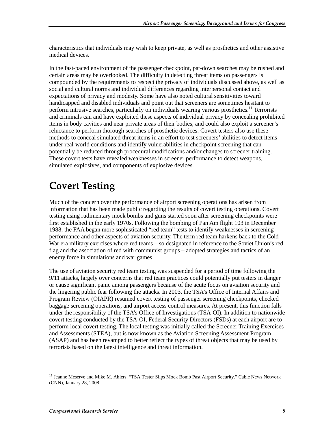characteristics that individuals may wish to keep private, as well as prosthetics and other assistive medical devices.

In the fast-paced environment of the passenger checkpoint, pat-down searches may be rushed and certain areas may be overlooked. The difficulty in detecting threat items on passengers is compounded by the requirements to respect the privacy of individuals discussed above, as well as social and cultural norms and individual differences regarding interpersonal contact and expectations of privacy and modesty. Some have also noted cultural sensitivities toward handicapped and disabled individuals and point out that screeners are sometimes hesitant to perform intrusive searches, particularly on individuals wearing various prosthetics.<sup>11</sup> Terrorists and criminals can and have exploited these aspects of individual privacy by concealing prohibited items in body cavities and near private areas of their bodies, and could also exploit a screener's reluctance to perform thorough searches of prosthetic devices. Covert testers also use these methods to conceal simulated threat items in an effort to test screeners' abilities to detect items under real-world conditions and identify vulnerabilities in checkpoint screening that can potentially be reduced through procedural modifications and/or changes to screener training. These covert tests have revealed weaknesses in screener performance to detect weapons, simulated explosives, and components of explosive devices.

### **Covert Testing**

Much of the concern over the performance of airport screening operations has arisen from information that has been made public regarding the results of covert testing operations. Covert testing using rudimentary mock bombs and guns started soon after screening checkpoints were first established in the early 1970s. Following the bombing of Pan Am flight 103 in December 1988, the FAA began more sophisticated "red team" tests to identify weaknesses in screening performance and other aspects of aviation security. The term red team harkens back to the Cold War era military exercises where red teams – so designated in reference to the Soviet Union's red flag and the association of red with communist groups – adopted strategies and tactics of an enemy force in simulations and war games.

The use of aviation security red team testing was suspended for a period of time following the 9/11 attacks, largely over concerns that red team practices could potentially put testers in danger or cause significant panic among passengers because of the acute focus on aviation security and the lingering public fear following the attacks. In 2003, the TSA's Office of Internal Affairs and Program Review (OIAPR) resumed covert testing of passenger screening checkpoints, checked baggage screening operations, and airport access control measures. At present, this function falls under the responsibility of the TSA's Office of Investigations (TSA-OI). In addition to nationwide covert testing conducted by the TSA-OI, Federal Security Directors (FSDs) at each airport are to perform local covert testing. The local testing was initially called the Screener Training Exercises and Assessments (STEA), but is now known as the Aviation Screening Assessment Program (ASAP) and has been revamped to better reflect the types of threat objects that may be used by terrorists based on the latest intelligence and threat information.

<sup>&</sup>lt;sup>11</sup> Jeanne Meserve and Mike M. Ahlers. "TSA Tester Slips Mock Bomb Past Airport Security." Cable News Network (CNN), January 28, 2008.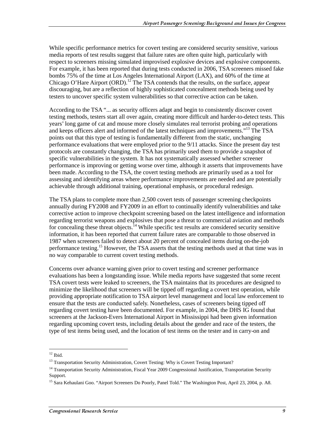While specific performance metrics for covert testing are considered security sensitive, various media reports of test results suggest that failure rates are often quite high, particularly with respect to screeners missing simulated improvised explosive devices and explosive components. For example, it has been reported that during tests conducted in 2006, TSA screeners missed fake bombs 75% of the time at Los Angeles International Airport (LAX), and 60% of the time at Chicago O'Hare Airport (ORD).<sup>12</sup> The TSA contends that the results, on the surface, appear discouraging, but are a reflection of highly sophisticated concealment methods being used by testers to uncover specific system vulnerabilities so that corrective action can be taken.

According to the TSA "... as security officers adapt and begin to consistently discover covert testing methods, testers start all over again, creating more difficult and harder-to-detect tests. This years' long game of cat and mouse more closely simulates real terrorist probing and operations and keeps officers alert and informed of the latest techniques and improvements."13 The TSA points out that this type of testing is fundamentally different from the static, unchanging performance evaluations that were employed prior to the 9/11 attacks. Since the present day test protocols are constantly changing, the TSA has primarily used them to provide a snapshot of specific vulnerabilities in the system. It has not systematically assessed whether screener performance is improving or getting worse over time, although it asserts that improvements have been made. According to the TSA, the covert testing methods are primarily used as a tool for assessing and identifying areas where performance improvements are needed and are potentially achievable through additional training, operational emphasis, or procedural redesign.

The TSA plans to complete more than 2,500 covert tests of passenger screening checkpoints annually during FY2008 and FY2009 in an effort to continually identify vulnerabilities and take corrective action to improve checkpoint screening based on the latest intelligence and information regarding terrorist weapons and explosives that pose a threat to commercial aviation and methods for concealing these threat objects. $^{14}$  While specific test results are considered security sensitive information, it has been reported that current failure rates are comparable to those observed in 1987 when screeners failed to detect about 20 percent of concealed items during on-the-job performance testing.<sup>15</sup> However, the TSA asserts that the testing methods used at that time was in no way comparable to current covert testing methods.

Concerns over advance warning given prior to covert testing and screener performance evaluations has been a longstanding issue. While media reports have suggested that some recent TSA covert tests were leaked to screeners, the TSA maintains that its procedures are designed to minimize the likelihood that screeners will be tipped off regarding a covert test operation, while providing appropriate notification to TSA airport level management and local law enforcement to ensure that the tests are conducted safely. Nonetheless, cases of screeners being tipped off regarding covert testing have been documented. For example, in 2004, the DHS IG found that screeners at the Jackson-Evers International Airport in Mississippi had been given information regarding upcoming covert tests, including details about the gender and race of the testers, the type of test items being used, and the location of test items on the tester and in carry-on and

 $\overline{a}$  $12$  Ibid.

<sup>&</sup>lt;sup>13</sup> Transportation Security Administration, Covert Testing: Why is Covert Testing Important?

<sup>&</sup>lt;sup>14</sup> Transportation Security Administration, Fiscal Year 2009 Congressional Justification, Transportation Security Support.

<sup>15</sup> Sara Kehaulani Goo. "Airport Screeners Do Poorly, Panel Told." The Washington Post, April 23, 2004, p. A8.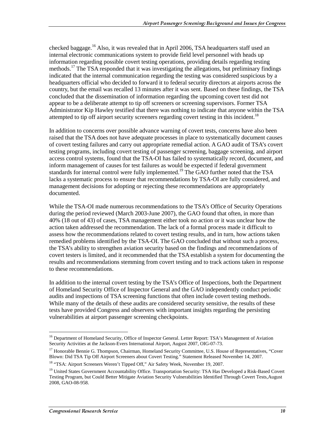checked baggage.<sup>16</sup> Also, it was revealed that in April 2006, TSA headquarters staff used an internal electronic communications system to provide field level personnel with heads up information regarding possible covert testing operations, providing details regarding testing methods.<sup>17</sup> The TSA responded that it was investigating the allegations, but preliminary findings indicated that the internal communication regarding the testing was considered suspicious by a headquarters official who decided to forward it to federal security directors at airports across the country, but the email was recalled 13 minutes after it was sent. Based on these findings, the TSA concluded that the dissemination of information regarding the upcoming covert test did not appear to be a deliberate attempt to tip off screeners or screening supervisors. Former TSA Administrator Kip Hawley testified that there was nothing to indicate that anyone within the TSA attempted to tip off airport security screeners regarding covert testing in this incident.<sup>18</sup>

In addition to concerns over possible advance warning of covert tests, concerns have also been raised that the TSA does not have adequate processes in place to systematically document causes of covert testing failures and carry out appropriate remedial action. A GAO audit of TSA's covert testing programs, including covert testing of passenger screening, baggage screening, and airport access control systems, found that the TSA-OI has failed to systematically record, document, and inform management of causes for test failures as would be expected if federal government standards for internal control were fully implemented.<sup>19</sup> The GAO further noted that the TSA lacks a systematic process to ensure that recommendations by TSA-OI are fully considered, and management decisions for adopting or rejecting these recommendations are appropriately documented.

While the TSA-OI made numerous recommendations to the TSA's Office of Security Operations during the period reviewed (March 2003-June 2007), the GAO found that often, in more than 40% (18 out of 43) of cases, TSA management either took no action or it was unclear how the action taken addressed the recommendation. The lack of a formal process made it difficult to assess how the recommendations related to covert testing results, and in turn, how actions taken remedied problems identified by the TSA-OI. The GAO concluded that without such a process, the TSA's ability to strengthen aviation security based on the findings and recommendations of covert testers is limited, and it recommended that the TSA establish a system for documenting the results and recommendations stemming from covert testing and to track actions taken in response to these recommendations.

In addition to the internal covert testing by the TSA's Office of Inspections, both the Department of Homeland Security Office of Inspector General and the GAO independently conduct periodic audits and inspections of TSA screening functions that often include covert testing methods. While many of the details of these audits are considered security sensitive, the results of these tests have provided Congress and observers with important insights regarding the persisting vulnerabilities at airport passenger screening checkpoints.

<sup>&</sup>lt;sup>16</sup> Department of Homeland Security, Office of Inspector General. Letter Report: TSA's Management of Aviation Security Activities at the Jackson-Evers International Airport, August 2007, OIG-07-73.

<sup>&</sup>lt;sup>17</sup> Honorable Bennie G. Thompson, Chairman, Homeland Security Committee, U.S. House of Representatives, "Cover Blown: Did TSA Tip Off Airport Screeners about Covert Testing." Statement Released November 14, 2007.

<sup>&</sup>lt;sup>18</sup> "TSA: Airport Screeners Weren't Tipped Off," Air Safety Week, November 19, 2007.

<sup>&</sup>lt;sup>19</sup> United States Government Accountability Office. Transportation Security: TSA Has Developed a Risk-Based Covert Testing Program, but Could Better Mitigate Aviation Security Vulnerabilities Identified Through Covert Tests,August 2008, GAO-08-958.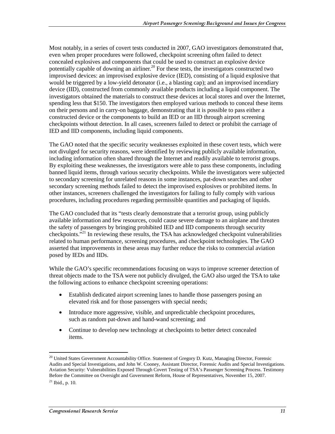Most notably, in a series of covert tests conducted in 2007, GAO investigators demonstrated that, even when proper procedures were followed, checkpoint screening often failed to detect concealed explosives and components that could be used to construct an explosive device potentially capable of downing an airliner.<sup>20</sup> For these tests, the investigators constructed two improvised devices: an improvised explosive device (IED), consisting of a liquid explosive that would be triggered by a low-yield detonator (i.e., a blasting cap); and an improvised incendiary device (IID), constructed from commonly available products including a liquid component. The investigators obtained the materials to construct these devices at local stores and over the Internet, spending less that \$150. The investigators then employed various methods to conceal these items on their persons and in carry-on baggage, demonstrating that it is possible to pass either a constructed device or the components to build an IED or an IID through airport screening checkpoints without detection. In all cases, screeners failed to detect or prohibit the carriage of IED and IID components, including liquid components.

The GAO noted that the specific security weaknesses exploited in these covert tests, which were not divulged for security reasons, were identified by reviewing publicly available information, including information often shared through the Internet and readily available to terrorist groups. By exploiting these weaknesses, the investigators were able to pass these components, including banned liquid items, through various security checkpoints. While the investigators were subjected to secondary screening for unrelated reasons in some instances, pat-down searches and other secondary screening methods failed to detect the improvised explosives or prohibited items. In other instances, screeners challenged the investigators for failing to fully comply with various procedures, including procedures regarding permissible quantities and packaging of liquids.

The GAO concluded that its "tests clearly demonstrate that a terrorist group, using publicly available information and few resources, could cause severe damage to an airplane and threaten the safety of passengers by bringing prohibited IED and IID components through security checkpoints.<sup>721</sup> In reviewing these results, the TSA has acknowledged checkpoint vulnerabilities related to human performance, screening procedures, and checkpoint technologies. The GAO asserted that improvements in these areas may further reduce the risks to commercial aviation posed by IEDs and IIDs.

While the GAO's specific recommendations focusing on ways to improve screener detection of threat objects made to the TSA were not publicly divulged, the GAO also urged the TSA to take the following actions to enhance checkpoint screening operations:

- Establish dedicated airport screening lanes to handle those passengers posing an elevated risk and for those passengers with special needs;
- Introduce more aggressive, visible, and unpredictable checkpoint procedures, such as random pat-down and hand-wand screening; and
- Continue to develop new technology at checkpoints to better detect concealed items.

<sup>&</sup>lt;sup>20</sup> United States Government Accountability Office. Statement of Gregory D. Kutz, Managing Director, Forensic Audits and Special Investigations, and John W. Cooney, Assistant Director, Forensic Audits and Special Investigations. Aviation Security: Vulnerabilities Exposed Through Covert Testing of TSA's Passenger Screening Process. Testimony Before the Committee on Oversight and Government Reform, House of Representatives, November 15, 2007.

 $^{21}$  Ibid., p. 10.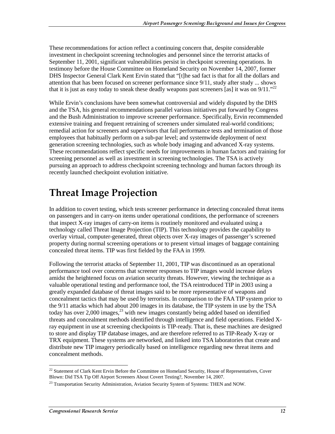These recommendations for action reflect a continuing concern that, despite considerable investment in checkpoint screening technologies and personnel since the terrorist attacks of September 11, 2001, significant vulnerabilities persist in checkpoint screening operations. In testimony before the House Committee on Homeland Security on November 14, 2007, former DHS Inspector General Clark Kent Ervin stated that "[t]he sad fact is that for all the dollars and attention that has been focused on screener performance since 9/11, study after study ... shows that it is just as easy today to sneak these deadly weapons past screeners [as] it was on  $9/11$ ."<sup>22</sup>

While Ervin's conclusions have been somewhat controversial and widely disputed by the DHS and the TSA, his general recommendations parallel various initiatives put forward by Congress and the Bush Administration to improve screener performance. Specifically, Ervin recommended extensive training and frequent retraining of screeners under simulated real-world conditions; remedial action for screeners and supervisors that fail performance tests and termination of those employees that habitually perform on a sub-par level; and systemwide deployment of next generation screening technologies, such as whole body imaging and advanced X-ray systems. These recommendations reflect specific needs for improvements in human factors and training for screening personnel as well as investment in screening technologies. The TSA is actively pursuing an approach to address checkpoint screening technology and human factors through its recently launched checkpoint evolution initiative.

# **Threat Image Projection**

In addition to covert testing, which tests screener performance in detecting concealed threat items on passengers and in carry-on items under operational conditions, the performance of screeners that inspect X-ray images of carry-on items is routinely monitored and evaluated using a technology called Threat Image Projection (TIP). This technology provides the capability to overlay virtual, computer-generated, threat objects over X-ray images of passenger's screened property during normal screening operations or to present virtual images of baggage containing concealed threat items. TIP was first fielded by the FAA in 1999.

Following the terrorist attacks of September 11, 2001, TIP was discontinued as an operational performance tool over concerns that screener responses to TIP images would increase delays amidst the heightened focus on aviation security threats. However, viewing the technique as a valuable operational testing and performance tool, the TSA reintroduced TIP in 2003 using a greatly expanded database of threat images said to be more representative of weapons and concealment tactics that may be used by terrorists. In comparison to the FAA TIP system prior to the 9/11 attacks which had about 200 images in its database, the TIP system in use by the TSA today has over 2,000 images, $^{23}$  with new images constantly being added based on identified threats and concealment methods identified through intelligence and field operations. Fielded Xray equipment in use at screening checkpoints is TIP-ready. That is, these machines are designed to store and display TIP database images, and are therefore referred to as TIP-Ready X-ray or TRX equipment. These systems are networked, and linked into TSA laboratories that create and distribute new TIP imagery periodically based on intelligence regarding new threat items and concealment methods.

 $\overline{a}$  $22$  Statement of Clark Kent Ervin Before the Committee on Homeland Security, House of Representatives, Cover Blown: Did TSA Tip Off Airport Screeners About Covert Testing?, November 14, 2007.

<sup>&</sup>lt;sup>23</sup> Transportation Security Administration, Aviation Security System of Systems: THEN and NOW.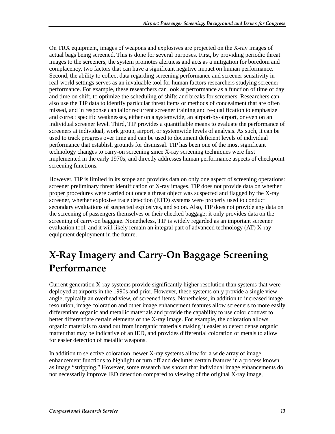On TRX equipment, images of weapons and explosives are projected on the X-ray images of actual bags being screened. This is done for several purposes. First, by providing periodic threat images to the screeners, the system promotes alertness and acts as a mitigation for boredom and complacency, two factors that can have a significant negative impact on human performance. Second, the ability to collect data regarding screening performance and screener sensitivity in real-world settings serves as an invaluable tool for human factors researchers studying screener performance. For example, these researchers can look at performance as a function of time of day and time on shift, to optimize the scheduling of shifts and breaks for screeners. Researchers can also use the TIP data to identify particular threat items or methods of concealment that are often missed, and in response can tailor recurrent screener training and re-qualification to emphasize and correct specific weaknesses, either on a systemwide, an airport-by-airport, or even on an individual screener level. Third, TIP provides a quantifiable means to evaluate the performance of screeners at individual, work group, airport, or systemwide levels of analysis. As such, it can be used to track progress over time and can be used to document deficient levels of individual performance that establish grounds for dismissal. TIP has been one of the most significant technology changes to carry-on screening since X-ray screening techniques were first implemented in the early 1970s, and directly addresses human performance aspects of checkpoint screening functions.

However, TIP is limited in its scope and provides data on only one aspect of screening operations: screener preliminary threat identification of X-ray images. TIP does not provide data on whether proper procedures were carried out once a threat object was suspected and flagged by the X-ray screener, whether explosive trace detection (ETD) systems were properly used to conduct secondary evaluations of suspected explosives, and so on. Also, TIP does not provide any data on the screening of passengers themselves or their checked baggage; it only provides data on the screening of carry-on baggage. Nonetheless, TIP is widely regarded as an important screener evaluation tool, and it will likely remain an integral part of advanced technology (AT) X-ray equipment deployment in the future.

# X-Ray Imagery and Carry-On Baggage Screening Performance

Current generation X-ray systems provide significantly higher resolution than systems that were deployed at airports in the 1990s and prior. However, these systems only provide a single view angle, typically an overhead view, of screened items. Nonetheless, in addition to increased image resolution, image coloration and other image enhancement features allow screeners to more easily differentiate organic and metallic materials and provide the capability to use color contrast to better differentiate certain elements of the X-ray image. For example, the coloration allows organic materials to stand out from inorganic materials making it easier to detect dense organic matter that may be indicative of an IED, and provides differential coloration of metals to allow for easier detection of metallic weapons.

In addition to selective coloration, newer X-ray systems allow for a wide array of image enhancement functions to highlight or turn off and declutter certain features in a process known as image "stripping." However, some research has shown that individual image enhancements do not necessarily improve IED detection compared to viewing of the original X-ray image,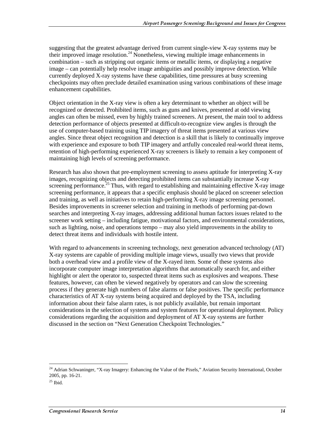suggesting that the greatest advantage derived from current single-view X-ray systems may be their improved image resolution.<sup>24</sup> Nonetheless, viewing multiple image enhancements in combination – such as stripping out organic items or metallic items, or displaying a negative image – can potentially help resolve image ambiguities and possibly improve detection. While currently deployed X-ray systems have these capabilities, time pressures at busy screening checkpoints may often preclude detailed examination using various combinations of these image enhancement capabilities.

Object orientation in the X-ray view is often a key determinant to whether an object will be recognized or detected. Prohibited items, such as guns and knives, presented at odd viewing angles can often be missed, even by highly trained screeners. At present, the main tool to address detection performance of objects presented at difficult-to-recognize view angles is through the use of computer-based training using TIP imagery of threat items presented at various view angles. Since threat object recognition and detection is a skill that is likely to continually improve with experience and exposure to both TIP imagery and artfully concealed real-world threat items, retention of high-performing experienced X-ray screeners is likely to remain a key component of maintaining high levels of screening performance.

Research has also shown that pre-employment screening to assess aptitude for interpreting X-ray images, recognizing objects and detecting prohibited items can substantially increase X-ray screening performance.<sup>25</sup> Thus, with regard to establishing and maintaining effective X-ray image screening performance, it appears that a specific emphasis should be placed on screener selection and training, as well as initiatives to retain high-performing X-ray image screening personnel. Besides improvements in screener selection and training in methods of performing pat-down searches and interpreting X-ray images, addressing additional human factors issues related to the screener work setting – including fatigue, motivational factors, and environmental considerations, such as lighting, noise, and operations tempo – may also yield improvements in the ability to detect threat items and individuals with hostile intent.

With regard to advancements in screening technology, next generation advanced technology (AT) X-ray systems are capable of providing multiple image views, usually two views that provide both a overhead view and a profile view of the X-rayed item. Some of these systems also incorporate computer image interpretation algorithms that automatically search for, and either highlight or alert the operator to, suspected threat items such as explosives and weapons. These features, however, can often be viewed negatively by operators and can slow the screening process if they generate high numbers of false alarms or false positives. The specific performance characteristics of AT X-ray systems being acquired and deployed by the TSA, including information about their false alarm rates, is not publicly available, but remain important considerations in the selection of systems and system features for operational deployment. Policy considerations regarding the acquisition and deployment of AT X-ray systems are further discussed in the section on "Next Generation Checkpoint Technologies."

<sup>&</sup>lt;sup>24</sup> Adrian Schwaninger, "X-ray Imagery: Enhancing the Value of the Pixels," Aviation Security International, October 2005, pp. 16-21.

 $25$  Ibid.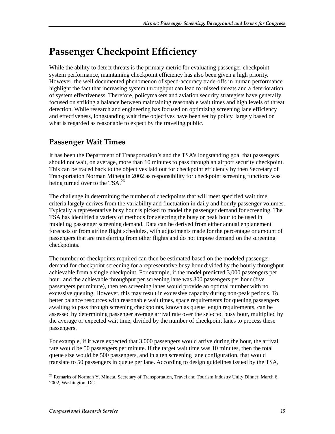# Passenger Checkpoint Efficiency

While the ability to detect threats is the primary metric for evaluating passenger checkpoint system performance, maintaining checkpoint efficiency has also been given a high priority. However, the well documented phenomenon of speed-accuracy trade-offs in human performance highlight the fact that increasing system throughput can lead to missed threats and a deterioration of system effectiveness. Therefore, policymakers and aviation security strategists have generally focused on striking a balance between maintaining reasonable wait times and high levels of threat detection. While research and engineering has focused on optimizing screening lane efficiency and effectiveness, longstanding wait time objectives have been set by policy, largely based on what is regarded as reasonable to expect by the traveling public.

#### Passenger Wait Times

It has been the Department of Transportation's and the TSA's longstanding goal that passengers should not wait, on average, more than 10 minutes to pass through an airport security checkpoint. This can be traced back to the objectives laid out for checkpoint efficiency by then Secretary of Transportation Norman Mineta in 2002 as responsibility for checkpoint screening functions was being turned over to the TSA.<sup>26</sup>

The challenge in determining the number of checkpoints that will meet specified wait time criteria largely derives from the variability and fluctuation in daily and hourly passenger volumes. Typically a representative busy hour is picked to model the passenger demand for screening. The TSA has identified a variety of methods for selecting the busy or peak hour to be used in modeling passenger screening demand. Data can be derived from either annual enplanement forecasts or from airline flight schedules, with adjustments made for the percentage or amount of passengers that are transferring from other flights and do not impose demand on the screening checkpoints.

The number of checkpoints required can then be estimated based on the modeled passenger demand for checkpoint screening for a representative busy hour divided by the hourly throughput achievable from a single checkpoint. For example, if the model predicted 3,000 passengers per hour, and the achievable throughput per screening lane was 300 passengers per hour (five passengers per minute), then ten screening lanes would provide an optimal number with no excessive queuing. However, this may result in excessive capacity during non-peak periods. To better balance resources with reasonable wait times, space requirements for queuing passengers awaiting to pass through screening checkpoints, known as queue length requirements, can be assessed by determining passenger average arrival rate over the selected busy hour, multiplied by the average or expected wait time, divided by the number of checkpoint lanes to process these passengers.

For example, if it were expected that 3,000 passengers would arrive during the hour, the arrival rate would be 50 passengers per minute. If the target wait time was 10 minutes, then the total queue size would be 500 passengers, and in a ten screening lane configuration, that would translate to 50 passengers in queue per lane. According to design guidelines issued by the TSA,

 $\overline{a}$ <sup>26</sup> Remarks of Norman Y. Mineta, Secretary of Transportation, Travel and Tourism Industry Unity Dinner, March 6, 2002, Washington, DC.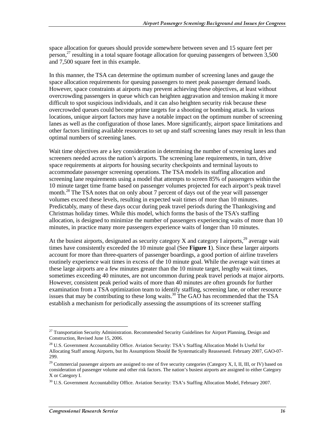space allocation for queues should provide somewhere between seven and 15 square feet per person,<sup>27</sup> resulting in a total square footage allocation for queuing passengers of between  $3,500$ and 7,500 square feet in this example.

In this manner, the TSA can determine the optimum number of screening lanes and gauge the space allocation requirements for queuing passengers to meet peak passenger demand loads. However, space constraints at airports may prevent achieving these objectives, at least without overcrowding passengers in queue which can heighten aggravation and tension making it more difficult to spot suspicious individuals, and it can also heighten security risk because these overcrowded queues could become prime targets for a shooting or bombing attack. In various locations, unique airport factors may have a notable impact on the optimum number of screening lanes as well as the configuration of those lanes. More significantly, airport space limitations and other factors limiting available resources to set up and staff screening lanes may result in less than optimal numbers of screening lanes.

Wait time objectives are a key consideration in determining the number of screening lanes and screeners needed across the nation's airports. The screening lane requirements, in turn, drive space requirements at airports for housing security checkpoints and terminal layouts to accommodate passenger screening operations. The TSA models its staffing allocation and screening lane requirements using a model that attempts to screen 85% of passengers within the 10 minute target time frame based on passenger volumes projected for each airport's peak travel month.<sup>28</sup> The TSA notes that on only about 7 percent of days out of the year will passenger volumes exceed these levels, resulting in expected wait times of more than 10 minutes. Predictably, many of these days occur during peak travel periods during the Thanksgiving and Christmas holiday times. While this model, which forms the basis of the TSA's staffing allocation, is designed to minimize the number of passengers experiencing waits of more than 10 minutes, in practice many more passengers experience waits of longer than 10 minutes.

At the busiest airports, designated as security category X and category I airports,<sup>29</sup> average wait times have consistently exceeded the 10 minute goal (See **Figure 1**). Since these larger airports account for more than three-quarters of passenger boardings, a good portion of airline travelers routinely experience wait times in excess of the 10 minute goal. While the average wait times at these large airports are a few minutes greater than the 10 minute target, lengthy wait times, sometimes exceeding 40 minutes, are not uncommon during peak travel periods at major airports. However, consistent peak period waits of more than 40 minutes are often grounds for further examination from a TSA optimization team to identify staffing, screening lane, or other resource issues that may be contributing to these long waits.<sup>30</sup> The GAO has recommended that the TSA establish a mechanism for periodically assessing the assumptions of its screener staffing

<sup>&</sup>lt;sup>27</sup> Transportation Security Administration. Recommended Security Guidelines for Airport Planning, Design and Construction, Revised June 15, 2006.

<sup>&</sup>lt;sup>28</sup> U.S. Government Accountability Office. Aviation Security: TSA's Staffing Allocation Model Is Useful for Allocating Staff among Airports, but Its Assumptions Should Be Systematically Reassessed. February 2007, GAO-07- 299.

 $^{29}$  Commercial passenger airports are assigned to one of five security categories (Category X, I, II, III, or IV) based on consideration of passenger volume and other risk factors. The nation's busiest airports are assigned to either Category X or Category I.

<sup>&</sup>lt;sup>30</sup> U.S. Government Accountability Office. Aviation Security: TSA's Staffing Allocation Model, February 2007.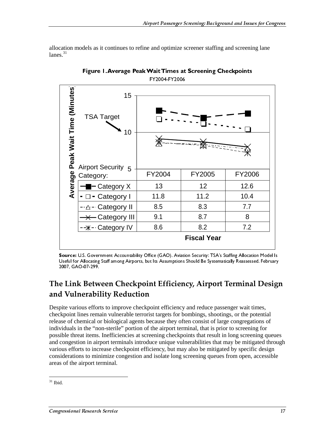allocation models as it continues to refine and optimize screener staffing and screening lane  $lanes.<sup>31</sup>$ 



Figure 1. Average Peak Wait Times at Screening Checkpoints

Source: U.S. Government Accountability Office (GAO). Aviation Security: TSA's Staffing Allocation Model Is Useful for Allocating Staff among Airports, but Its Assumptions Should Be Systematically Reassessed. February 2007, GAO-07-299.

#### The Link Between Checkpoint Efficiency, Airport Terminal Design and Vulnerability Reduction

Despite various efforts to improve checkpoint efficiency and reduce passenger wait times, checkpoint lines remain vulnerable terrorist targets for bombings, shootings, or the potential release of chemical or biological agents because they often consist of large congregations of individuals in the "non-sterile" portion of the airport terminal, that is prior to screening for possible threat items. Inefficiencies at screening checkpoints that result in long screening queues and congestion in airport terminals introduce unique vulnerabilities that may be mitigated through various efforts to increase checkpoint efficiency, but may also be mitigated by specific design considerations to minimize congestion and isolate long screening queues from open, accessible areas of the airport terminal.

 $\overline{a}$  $31$  Ibid.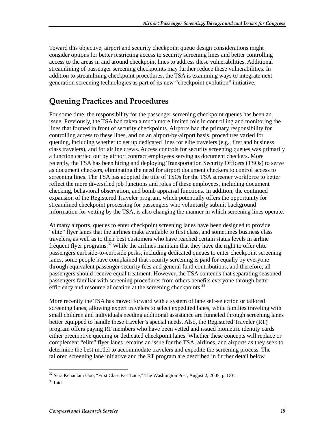Toward this objective, airport and security checkpoint queue design considerations might consider options for better restricting access to security screening lines and better controlling access to the areas in and around checkpoint lines to address these vulnerabilities. Additional streamlining of passenger screening checkpoints may further reduce these vulnerabilities. In addition to streamlining checkpoint procedures, the TSA is examining ways to integrate next generation screening technologies as part of its new "checkpoint evolution" initiative.

#### Queuing Practices and Procedures

For some time, the responsibility for the passenger screening checkpoint queues has been an issue. Previously, the TSA had taken a much more limited role in controlling and monitoring the lines that formed in front of security checkpoints. Airports had the primary responsibility for controlling access to these lines, and on an airport-by-airport basis, procedures varied for queuing, including whether to set up dedicated lines for elite travelers (e.g., first and business class travelers), and for airline crews. Access controls for security screening queues was primarily a function carried out by airport contract employees serving as document checkers. More recently, the TSA has been hiring and deploying Transportation Security Officers (TSOs) to serve as document checkers, eliminating the need for airport document checkers to control access to screening lines. The TSA has adopted the title of TSOs for the TSA screener workforce to better reflect the more diversified job functions and roles of these employees, including document checking, behavioral observation, and bomb appraisal functions. In addition, the continued expansion of the Registered Traveler program, which potentially offers the opportunity for streamlined checkpoint processing for passengers who voluntarily submit background information for vetting by the TSA, is also changing the manner in which screening lines operate.

At many airports, queues to enter checkpoint screening lanes have been designed to provide "elite" flyer lanes that the airlines make available to first class, and sometimes business class travelers, as well as to their best customers who have reached certain status levels in airline frequent flyer programs.<sup>32</sup> While the airlines maintain that they have the right to offer elite passengers curbside-to-curbside perks, including dedicated queues to enter checkpoint screening lanes, some people have complained that security screening is paid for equally by everyone through equivalent passenger security fees and general fund contributions, and therefore, all passengers should receive equal treatment. However, the TSA contends that separating seasoned passengers familiar with screening procedures from others benefits everyone through better efficiency and resource allocation at the screening checkpoints.<sup>33</sup>

More recently the TSA has moved forward with a system of lane self-selection or tailored screening lanes, allowing expert travelers to select expedited lanes, while families traveling with small children and individuals needing additional assistance are funneled through screening lanes better equipped to handle these traveler's special needs. Also, the Registered Traveler (RT) program offers paying RT members who have been vetted and issued biometric identity cards either preemptive queuing or dedicated checkpoint lanes. Whether these concepts will replace or complement "elite" flyer lanes remains an issue for the TSA, airlines, and airports as they seek to determine the best model to accommodate travelers and expedite the screening process. The tailored screening lane initiative and the RT program are described in further detail below.

 $\overline{a}$  $32$  Sara Kehaulani Goo, "First Class Fast Lane," The Washington Post, August 2, 2005, p. D01.  $33$  Ibid.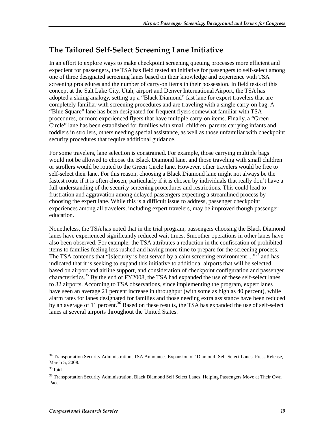#### The Tailored Self-Select Screening Lane Initiative

In an effort to explore ways to make checkpoint screening queuing processes more efficient and expedient for passengers, the TSA has field tested an initiative for passengers to self-select among one of three designated screening lanes based on their knowledge and experience with TSA screening procedures and the number of carry-on items in their possession. In field tests of this concept at the Salt Lake City, Utah, airport and Denver International Airport, the TSA has adopted a skiing analogy, setting up a "Black Diamond" fast lane for expert travelers that are completely familiar with screening procedures and are traveling with a single carry-on bag. A "Blue Square" lane has been designated for frequent flyers somewhat familiar with TSA procedures, or more experienced flyers that have multiple carry-on items. Finally, a "Green Circle" lane has been established for families with small children, parents carrying infants and toddlers in strollers, others needing special assistance, as well as those unfamiliar with checkpoint security procedures that require additional guidance.

For some travelers, lane selection is constrained. For example, those carrying multiple bags would not be allowed to choose the Black Diamond lane, and those traveling with small children or strollers would be routed to the Green Circle lane. However, other travelers would be free to self-select their lane. For this reason, choosing a Black Diamond lane might not always be the fastest route if it is often chosen, particularly if it is chosen by individuals that really don't have a full understanding of the security screening procedures and restrictions. This could lead to frustration and aggravation among delayed passengers expecting a streamlined process by choosing the expert lane. While this is a difficult issue to address, passenger checkpoint experiences among all travelers, including expert travelers, may be improved though passenger education.

Nonetheless, the TSA has noted that in the trial program, passengers choosing the Black Diamond lanes have experienced significantly reduced wait times. Smoother operations in other lanes have also been observed. For example, the TSA attributes a reduction in the confiscation of prohibited items to families feeling less rushed and having more time to prepare for the screening process. The TSA contends that "[s]ecurity is best served by a calm screening environment ..."<sup>34</sup> and has indicated that it is seeking to expand this initiative to additional airports that will be selected based on airport and airline support, and consideration of checkpoint configuration and passenger characteristics.<sup>35</sup> By the end of FY2008, the TSA had expanded the use of these self-select lanes to 32 airports. According to TSA observations, since implementing the program, expert lanes have seen an average 21 percent increase in throughput (with some as high as 40 percent), while alarm rates for lanes designated for families and those needing extra assistance have been reduced by an average of 11 percent.<sup>36</sup> Based on these results, the TSA has expanded the use of self-select lanes at several airports throughout the United States.

<sup>&</sup>lt;sup>34</sup> Transportation Security Administration, TSA Announces Expansion of 'Diamond' Self-Select Lanes. Press Release, March 5, 2008.

 $^{35}$  Ibid.

<sup>&</sup>lt;sup>36</sup> Transportation Security Administration, Black Diamond Self Select Lanes, Helping Passengers Move at Their Own Pace.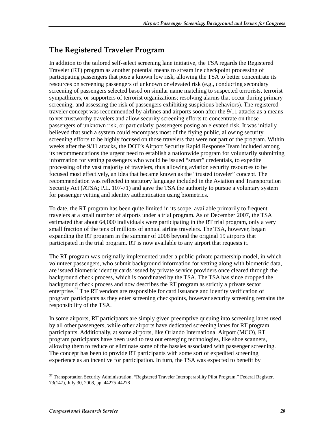### The Registered Traveler Program

In addition to the tailored self-select screening lane initiative, the TSA regards the Registered Traveler (RT) program as another potential means to streamline checkpoint processing of participating passengers that pose a known low risk, allowing the TSA to better concentrate its resources on screening passengers of unknown or elevated risk (e.g., conducting secondary screening of passengers selected based on similar name matching to suspected terrorists, terrorist sympathizers, or supporters of terrorist organizations; resolving alarms that occur during primary screening; and assessing the risk of passengers exhibiting suspicious behaviors). The registered traveler concept was recommended by airlines and airports soon after the 9/11 attacks as a means to vet trustworthy travelers and allow security screening efforts to concentrate on those passengers of unknown risk, or particularly, passengers posing an elevated risk. It was initially believed that such a system could encompass most of the flying public, allowing security screening efforts to be highly focused on those travelers that were not part of the program. Within weeks after the 9/11 attacks, the DOT's Airport Security Rapid Response Team included among its recommendations the urgent need to establish a nationwide program for voluntarily submitting information for vetting passengers who would be issued "smart" credentials, to expedite processing of the vast majority of travelers, thus allowing aviation security resources to be focused most effectively, an idea that became known as the "trusted traveler" concept. The recommendation was reflected in statutory language included in the Aviation and Transportation Security Act (ATSA; P.L. 107-71) and gave the TSA the authority to pursue a voluntary system for passenger vetting and identity authentication using biometrics.

To date, the RT program has been quite limited in its scope, available primarily to frequent travelers at a small number of airports under a trial program. As of December 2007, the TSA estimated that about 64,000 individuals were participating in the RT trial program, only a very small fraction of the tens of millions of annual airline travelers. The TSA, however, began expanding the RT program in the summer of 2008 beyond the original 19 airports that participated in the trial program. RT is now available to any airport that requests it.

The RT program was originally implemented under a public-private partnership model, in which volunteer passengers, who submit background information for vetting along with biometric data, are issued biometric identity cards issued by private service providers once cleared through the background check process, which is coordinated by the TSA. The TSA has since dropped the background check process and now describes the RT program as strictly a private sector enterprise.<sup>37</sup> The RT vendors are responsible for card issuance and identity verification of program participants as they enter screening checkpoints, however security screening remains the responsibility of the TSA.

In some airports, RT participants are simply given preemptive queuing into screening lanes used by all other passengers, while other airports have dedicated screening lanes for RT program participants. Additionally, at some airports, like Orlando International Airport (MCO), RT program participants have been used to test out emerging technologies, like shoe scanners, allowing them to reduce or eliminate some of the hassles associated with passenger screening. The concept has been to provide RT participants with some sort of expedited screening experience as an incentive for participation. In turn, the TSA was expected to benefit by

 $\overline{a}$ <sup>37</sup> Transportation Security Administration, "Registered Traveler Interoperability Pilot Program," Federal Register, 73(147), July 30, 2008, pp. 44275-44278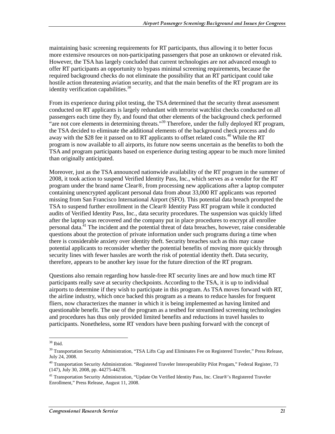maintaining basic screening requirements for RT participants, thus allowing it to better focus more extensive resources on non-participating passengers that pose an unknown or elevated risk. However, the TSA has largely concluded that current technologies are not advanced enough to offer RT participants an opportunity to bypass minimal screening requirements, because the required background checks do not eliminate the possibility that an RT participant could take hostile action threatening aviation security, and that the main benefits of the RT program are its identity verification capabilities. $38$ 

From its experience during pilot testing, the TSA determined that the security threat assessment conducted on RT applicants is largely redundant with terrorist watchlist checks conducted on all passengers each time they fly, and found that other elements of the background check performed "are not core elements in determining threats."<sup>39</sup> Therefore, under the fully deployed RT program, the TSA decided to eliminate the additional elements of the background check process and do away with the \$28 fee it passed on to RT applicants to offset related costs.<sup>40</sup> While the RT program is now available to all airports, its future now seems uncertain as the benefits to both the TSA and program participants based on experience during testing appear to be much more limited than originally anticipated.

Moreover, just as the TSA announced nationwide availability of the RT program in the summer of 2008, it took action to suspend Verified Identity Pass, Inc., which serves as a vendor for the RT program under the brand name Clear®, from processing new applications after a laptop computer containing unencrypted applicant personal data from about 33,000 RT applicants was reported missing from San Francisco International Airport (SFO). This potential data breach prompted the TSA to suspend further enrollment in the Clear® Identity Pass RT program while it conducted audits of Verified Identity Pass, Inc., data security procedures. The suspension was quickly lifted after the laptop was recovered and the company put in place procedures to encrypt all enrollee personal data. $41$ <sup>1</sup> The incident and the potential threat of data breaches, however, raise considerable questions about the protection of private information under such programs during a time when there is considerable anxiety over identity theft. Security breaches such as this may cause potential applicants to reconsider whether the potential benefits of moving more quickly through security lines with fewer hassles are worth the risk of potential identity theft. Data security, therefore, appears to be another key issue for the future direction of the RT program.

Questions also remain regarding how hassle-free RT security lines are and how much time RT participants really save at security checkpoints. According to the TSA, it is up to individual airports to determine if they wish to participate in this program. As TSA moves forward with RT, the airline industry, which once backed this program as a means to reduce hassles for frequent fliers, now characterizes the manner in which it is being implemented as having limited and questionable benefit. The use of the program as a testbed for streamlined screening technologies and procedures has thus only provided limited benefits and reductions in travel hassles to participants. Nonetheless, some RT vendors have been pushing forward with the concept of

<sup>38</sup> Ibid.

<sup>&</sup>lt;sup>39</sup> Transportation Security Administration, "TSA Lifts Cap and Eliminates Fee on Registered Traveler," Press Release, July 24, 2008.

<sup>&</sup>lt;sup>40</sup> Transportation Security Administration. "Registered Traveler Interoperability Pilot Progam," Federal Register, 73 (147), July 30, 2008, pp. 44275-44278.

<sup>&</sup>lt;sup>41</sup> Transportation Security Administration, "Update On Verified Identity Pass, Inc. Clear®'s Registered Traveler Enrollment," Press Release, August 11, 2008.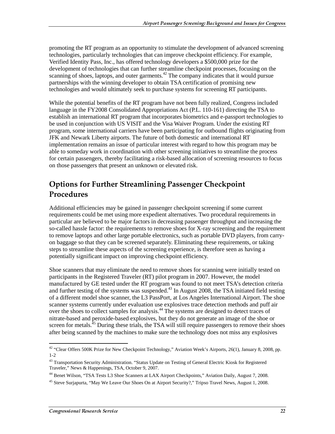promoting the RT program as an opportunity to stimulate the development of advanced screening technologies, particularly technologies that can improve checkpoint efficiency. For example, Verified Identity Pass, Inc., has offered technology developers a \$500,000 prize for the development of technologies that can further streamline checkpoint processes, focusing on the scanning of shoes, laptops, and outer garments.<sup>42</sup> The company indicates that it would pursue partnerships with the winning developer to obtain TSA certification of promising new technologies and would ultimately seek to purchase systems for screening RT participants.

While the potential benefits of the RT program have not been fully realized, Congress included language in the FY2008 Consolidated Appropriations Act (P.L. 110-161) directing the TSA to establish an international RT program that incorporates biometrics and e-passport technologies to be used in conjunction with US VISIT and the Visa Waiver Program. Under the existing RT program, some international carriers have been participating for outbound flights originating from JFK and Newark Liberty airports. The future of both domestic and international RT implementation remains an issue of particular interest with regard to how this program may be able to someday work in coordination with other screening initiatives to streamline the process for certain passengers, thereby facilitating a risk-based allocation of screening resources to focus on those passengers that present an unknown or elevated risk.

### Options for Further Streamlining Passenger Checkpoint Procedures

Additional efficiencies may be gained in passenger checkpoint screening if some current requirements could be met using more expedient alternatives. Two procedural requirements in particular are believed to be major factors in decreasing passenger throughput and increasing the so-called hassle factor: the requirements to remove shoes for X-ray screening and the requirement to remove laptops and other large portable electronics, such as portable DVD players, from carryon baggage so that they can be screened separately. Eliminating these requirements, or taking steps to streamline these aspects of the screening experience, is therefore seen as having a potentially significant impact on improving checkpoint efficiency.

Shoe scanners that may eliminate the need to remove shoes for scanning were initially tested on participants in the Registered Traveler (RT) pilot program in 2007. However, the model manufactured by GE tested under the RT program was found to not meet TSA's detection criteria and further testing of the systems was suspended.<sup>43</sup> In August 2008, the TSA initiated field testing of a different model shoe scanner, the L3 PassPort, at Los Angeles International Airport. The shoe scanner systems currently under evaluation use explosives trace detection methods and puff air over the shoes to collect samples for analysis.<sup>44</sup> The systems are designed to detect traces of nitrate-based and peroxide-based explosives, but they do not generate an image of the shoe or screen for metals. $^{45}$  During these trials, the TSA will still require passengers to remove their shoes after being scanned by the machines to make sure the technology does not miss any explosives

 $\overline{a}$ <sup>42</sup> "Clear Offers 500K Prize for New Checkpoint Technology," Aviation Week's Airports, 26(1), January 8, 2008, pp. 1-2

<sup>&</sup>lt;sup>43</sup> Transportation Security Administration. "Status Update on Testing of General Electric Kiosk for Registered Traveler," News & Happenings, TSA, October 9, 2007.

<sup>44</sup> Benet Wilson, "TSA Tests L3 Shoe Scanners at LAX Airport Checkpoints," Aviation Daily, August 7, 2008.

<sup>&</sup>lt;sup>45</sup> Steve Surjapurta, "May We Leave Our Shoes On at Airport Security?," Tripso Travel News, August 1, 2008.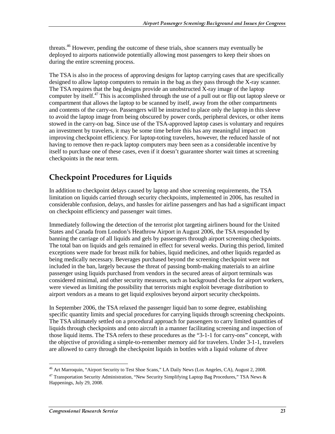threats.<sup>46</sup> However, pending the outcome of these trials, shoe scanners may eventually be deployed to airports nationwide potentially allowing most passengers to keep their shoes on during the entire screening process.

The TSA is also in the process of approving designs for laptop carrying cases that are specifically designed to allow laptop computers to remain in the bag as they pass through the X-ray scanner. The TSA requires that the bag designs provide an unobstructed X-ray image of the laptop computer by itself.<sup>47</sup> This is accomplished through the use of a pull out or flip out laptop sleeve or compartment that allows the laptop to be scanned by itself, away from the other compartments and contents of the carry-on. Passengers will be instructed to place only the laptop in this sleeve to avoid the laptop image from being obscured by power cords, peripheral devices, or other items stowed in the carry-on bag. Since use of the TSA-approved laptop cases is voluntary and requires an investment by travelers, it may be some time before this has any meaningful impact on improving checkpoint efficiency. For laptop-toting travelers, however, the reduced hassle of not having to remove then re-pack laptop computers may been seen as a considerable incentive by itself to purchase one of these cases, even if it doesn't guarantee shorter wait times at screening checkpoints in the near term.

### Checkpoint Procedures for Liquids

In addition to checkpoint delays caused by laptop and shoe screening requirements, the TSA limitation on liquids carried through security checkpoints, implemented in 2006, has resulted in considerable confusion, delays, and hassles for airline passengers and has had a significant impact on checkpoint efficiency and passenger wait times.

Immediately following the detection of the terrorist plot targeting airliners bound for the United States and Canada from London's Heathrow Airport in August 2006, the TSA responded by banning the carriage of all liquids and gels by passengers through airport screening checkpoints. The total ban on liquids and gels remained in effect for several weeks. During this period, limited exceptions were made for breast milk for babies, liquid medicines, and other liquids regarded as being medically necessary. Beverages purchased beyond the screening checkpoint were not included in the ban, largely because the threat of passing bomb-making materials to an airline passenger using liquids purchased from vendors in the secured areas of airport terminals was considered minimal, and other security measures, such as background checks for airport workers, were viewed as limiting the possibility that terrorists might exploit beverage distribution to airport vendors as a means to get liquid explosives beyond airport security checkpoints.

In September 2006, the TSA relaxed the passenger liquid ban to some degree, establishing specific quantity limits and special procedures for carrying liquids through screening checkpoints. The TSA ultimately settled on a procedural approach for passengers to carry limited quantities of liquids through checkpoints and onto aircraft in a manner facilitating screening and inspection of those liquid items. The TSA refers to these procedures as the "3-1-1 for carry-ons" concept, with the objective of providing a simple-to-remember memory aid for travelers. Under 3-1-1, travelers are allowed to carry through the checkpoint liquids in bottles with a liquid volume of *three* 

 $\overline{a}$ <sup>46</sup> Art Marroquin, "Airport Security to Test Shoe Scans," LA Daily News (Los Angeles, CA), August 2, 2008.

<sup>&</sup>lt;sup>47</sup> Transportation Security Administration, "New Security Simplifying Laptop Bag Procedures," TSA News & Happenings, July 29, 2008.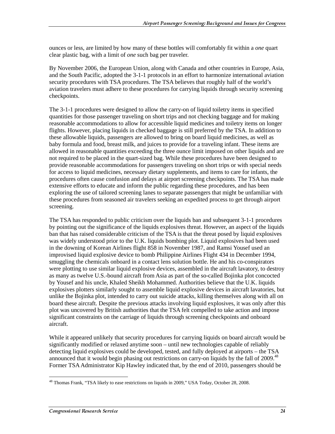ounces or less, are limited by how many of these bottles will comfortably fit within a *one* quart clear plastic bag, with a limit of *one* such bag per traveler.

By November 2006, the European Union, along with Canada and other countries in Europe, Asia, and the South Pacific, adopted the 3-1-1 protocols in an effort to harmonize international aviation security procedures with TSA procedures. The TSA believes that roughly half of the world's aviation travelers must adhere to these procedures for carrying liquids through security screening checkpoints.

The 3-1-1 procedures were designed to allow the carry-on of liquid toiletry items in specified quantities for those passenger traveling on short trips and not checking baggage and for making reasonable accommodations to allow for accessible liquid medicines and toiletry items on longer flights. However, placing liquids in checked baggage is still preferred by the TSA. In addition to these allowable liquids, passengers are allowed to bring on board liquid medicines, as well as baby formula and food, breast milk, and juices to provide for a traveling infant. These items are allowed in reasonable quantities exceeding the three ounce limit imposed on other liquids and are not required to be placed in the quart-sized bag. While these procedures have been designed to provide reasonable accommodations for passengers traveling on short trips or with special needs for access to liquid medicines, necessary dietary supplements, and items to care for infants, the procedures often cause confusion and delays at airport screening checkpoints. The TSA has made extensive efforts to educate and inform the public regarding these procedures, and has been exploring the use of tailored screening lanes to separate passengers that might be unfamiliar with these procedures from seasoned air travelers seeking an expedited process to get through airport screening.

The TSA has responded to public criticism over the liquids ban and subsequent 3-1-1 procedures by pointing out the significance of the liquids explosives threat. However, an aspect of the liquids ban that has raised considerable criticism of the TSA is that the threat posed by liquid explosives was widely understood prior to the U.K. liquids bombing plot. Liquid explosives had been used in the downing of Korean Airlines flight 858 in November 1987, and Ramsi Yousef used an improvised liquid explosive device to bomb Philippine Airlines Flight 434 in December 1994, smuggling the chemicals onboard in a contact lens solution bottle. He and his co-conspirators were plotting to use similar liquid explosive devices, assembled in the aircraft lavatory, to destroy as many as twelve U.S.-bound aircraft from Asia as part of the so-called Bojinka plot concocted by Yousef and his uncle, Khaled Sheikh Mohammed. Authorities believe that the U.K. liquids explosives plotters similarly sought to assemble liquid explosive devices in aircraft lavatories, but unlike the Bojinka plot, intended to carry out suicide attacks, killing themselves along with all on board these aircraft. Despite the previous attacks involving liquid explosives, it was only after this plot was uncovered by British authorities that the TSA felt compelled to take action and impose significant constraints on the carriage of liquids through screening checkpoints and onboard aircraft.

While it appeared unlikely that security procedures for carrying liquids on board aircraft would be significantly modified or relaxed anytime soon – until new technologies capable of reliably detecting liquid explosives could be developed, tested, and fully deployed at airports – the TSA announced that it would begin phasing out restrictions on carry-on liquids by the fall of  $2009<sup>48</sup>$ Former TSA Administrator Kip Hawley indicated that, by the end of 2010, passengers should be

 $\overline{a}$ <sup>48</sup> Thomas Frank, "TSA likely to ease restrictions on liquids in 2009," USA Today, October 28, 2008.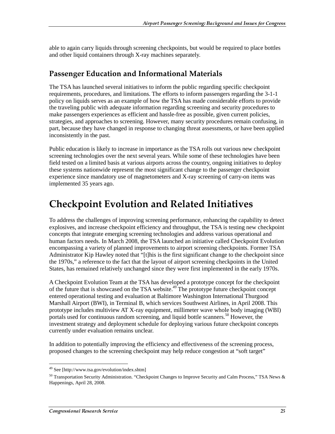able to again carry liquids through screening checkpoints, but would be required to place bottles and other liquid containers through X-ray machines separately.

#### Passenger Education and Informational Materials

The TSA has launched several initiatives to inform the public regarding specific checkpoint requirements, procedures, and limitations. The efforts to inform passengers regarding the 3-1-1 policy on liquids serves as an example of how the TSA has made considerable efforts to provide the traveling public with adequate information regarding screening and security procedures to make passengers experiences as efficient and hassle-free as possible, given current policies, strategies, and approaches to screening. However, many security procedures remain confusing, in part, because they have changed in response to changing threat assessments, or have been applied inconsistently in the past.

Public education is likely to increase in importance as the TSA rolls out various new checkpoint screening technologies over the next several years. While some of these technologies have been field tested on a limited basis at various airports across the country, ongoing initiatives to deploy these systems nationwide represent the most significant change to the passenger checkpoint experience since mandatory use of magnetometers and X-ray screening of carry-on items was implemented 35 years ago.

### Checkpoint Evolution and Related Initiatives

To address the challenges of improving screening performance, enhancing the capability to detect explosives, and increase checkpoint efficiency and throughput, the TSA is testing new checkpoint concepts that integrate emerging screening technologies and address various operational and human factors needs. In March 2008, the TSA launched an initiative called Checkpoint Evolution encompassing a variety of planned improvements to airport screening checkpoints. Former TSA Administrator Kip Hawley noted that "[t]his is the first significant change to the checkpoint since the 1970s," a reference to the fact that the layout of airport screening checkpoints in the United States, has remained relatively unchanged since they were first implemented in the early 1970s.

A Checkpoint Evolution Team at the TSA has developed a prototype concept for the checkpoint of the future that is showcased on the TSA website.<sup>49</sup> The prototype future checkpoint concept entered operational testing and evaluation at Baltimore Washington International Thurgood Marshall Airport (BWI), in Terminal B, which services Southwest Airlines, in April 2008. This prototype includes multiview AT X-ray equipment, millimeter wave whole body imaging (WBI) portals used for continuous random screening, and liquid bottle scanners.<sup>50</sup> However, the investment strategy and deployment schedule for deploying various future checkpoint concepts currently under evaluation remains unclear.

In addition to potentially improving the efficiency and effectiveness of the screening process, proposed changes to the screening checkpoint may help reduce congestion at "soft target"

<sup>49</sup> See [http://www.tsa.gov/evolution/index.shtm]

 $50$  Transportation Security Administration. "Checkpoint Changes to Improve Security and Calm Process," TSA News & Happenings, April 28, 2008.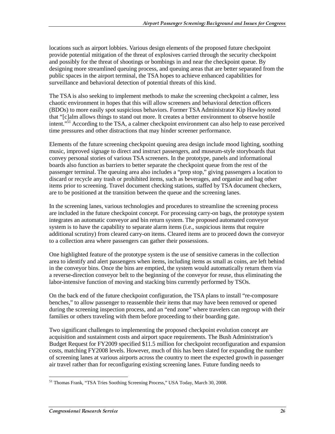locations such as airport lobbies. Various design elements of the proposed future checkpoint provide potential mitigation of the threat of explosives carried through the security checkpoint and possibly for the threat of shootings or bombings in and near the checkpoint queue. By designing more streamlined queuing process, and queuing areas that are better separated from the public spaces in the airport terminal, the TSA hopes to achieve enhanced capabilities for surveillance and behavioral detection of potential threats of this kind.

The TSA is also seeking to implement methods to make the screening checkpoint a calmer, less chaotic environment in hopes that this will allow screeners and behavioral detection officers (BDOs) to more easily spot suspicious behaviors. Former TSA Administrator Kip Hawley noted that "[c]alm allows things to stand out more. It creates a better environment to observe hostile intent."<sup>51</sup> According to the TSA, a calmer checkpoint environment can also help to ease perceived time pressures and other distractions that may hinder screener performance.

Elements of the future screening checkpoint queuing area design include mood lighting, soothing music, improved signage to direct and instruct passengers, and museum-style storyboards that convey personal stories of various TSA screeners. In the prototype, panels and informational boards also function as barriers to better separate the checkpoint queue from the rest of the passenger terminal. The queuing area also includes a "prep stop," giving passengers a location to discard or recycle any trash or prohibited items, such as beverages, and organize and bag other items prior to screening. Travel document checking stations, staffed by TSA document checkers, are to be positioned at the transition between the queue and the screening lanes.

In the screening lanes, various technologies and procedures to streamline the screening process are included in the future checkpoint concept. For processing carry-on bags, the prototype system integrates an automatic conveyor and bin return system. The proposed automated conveyor system is to have the capability to separate alarm items (i.e., suspicious items that require additional scrutiny) from cleared carry-on items. Cleared items are to proceed down the conveyor to a collection area where passengers can gather their possessions.

One highlighted feature of the prototype system is the use of sensitive cameras in the collection area to identify and alert passengers when items, including items as small as coins, are left behind in the conveyor bins. Once the bins are emptied, the system would automatically return them via a reverse-direction conveyor belt to the beginning of the conveyor for reuse, thus eliminating the labor-intensive function of moving and stacking bins currently performed by TSOs.

On the back end of the future checkpoint configuration, the TSA plans to install "re-composure benches," to allow passenger to reassemble their items that may have been removed or opened during the screening inspection process, and an "end zone" where travelers can regroup with their families or others traveling with them before proceeding to their boarding gate.

Two significant challenges to implementing the proposed checkpoint evolution concept are acquisition and sustainment costs and airport space requirements. The Bush Administration's Budget Request for FY2009 specified \$11.5 million for checkpoint reconfiguration and expansion costs, matching FY2008 levels. However, much of this has been slated for expanding the number of screening lanes at various airports across the country to meet the expected growth in passenger air travel rather than for reconfiguring existing screening lanes. Future funding needs to

 $\overline{a}$ <sup>51</sup> Thomas Frank, "TSA Tries Soothing Screening Process," USA Today, March 30, 2008.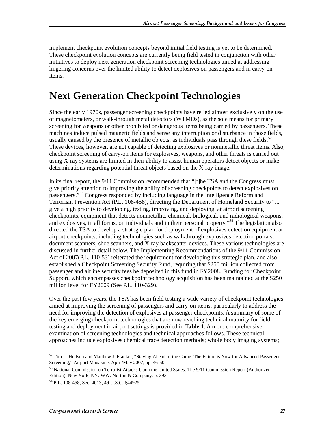implement checkpoint evolution concepts beyond initial field testing is yet to be determined. These checkpoint evolution concepts are currently being field tested in conjunction with other initiatives to deploy next generation checkpoint screening technologies aimed at addressing lingering concerns over the limited ability to detect explosives on passengers and in carry-on items.

### Next Generation Checkpoint Technologies

Since the early 1970s, passenger screening checkpoints have relied almost exclusively on the use of magnetometers, or walk-through metal detectors (WTMDs), as the sole means for primary screening for weapons or other prohibited or dangerous items being carried by passengers. These machines induce pulsed magnetic fields and sense any interruption or disturbance in those fields, usually caused by the presence of metallic objects, as individuals pass through these fields.<sup>52</sup> These devices, however, are not capable of detecting explosives or nonmetallic threat items. Also, checkpoint screening of carry-on items for explosives, weapons, and other threats is carried out using X-ray systems are limited in their ability to assist human operators detect objects or make determinations regarding potential threat objects based on the X-ray image.

In its final report, the 9/11 Commission recommended that "[t]he TSA and the Congress must give priority attention to improving the ability of screening checkpoints to detect explosives on passengers."<sup>53</sup> Congress responded by including language in the Intelligence Reform and Terrorism Prevention Act (P.L. 108-458), directing the Department of Homeland Security to "... give a high priority to developing, testing, improving, and deploying, at airport screening checkpoints, equipment that detects nonmetallic, chemical, biological, and radiological weapons, and explosives, in all forms, on individuals and in their personal property."54 The legislation also directed the TSA to develop a strategic plan for deployment of explosives detection equipment at airport checkpoints, including technologies such as walkthrough explosives detection portals, document scanners, shoe scanners, and X-ray backscatter devices. These various technologies are discussed in further detail below. The Implementing Recommendations of the 9/11 Commission Act of 2007(P.L. 110-53) reiterated the requirement for developing this strategic plan, and also established a Checkpoint Screening Security Fund, requiring that \$250 million collected from passenger and airline security fees be deposited in this fund in FY2008. Funding for Checkpoint Support, which encompasses checkpoint technology acquisition has been maintained at the \$250 million level for FY2009 (See P.L. 110-329).

Over the past few years, the TSA has been field testing a wide variety of checkpoint technologies aimed at improving the screening of passengers and carry-on items, particularly to address the need for improving the detection of explosives at passenger checkpoints. A summary of some of the key emerging checkpoint technologies that are now reaching technical maturity for field testing and deployment in airport settings is provided in **Table 1**. A more comprehensive examination of screening technologies and technical approaches follows. These technical approaches include explosives chemical trace detection methods; whole body imaging systems;

 $\overline{a}$ <sup>52</sup> Tim L. Hudson and Matthew J. Frankel, "Staying Ahead of the Game: The Future is Now for Advanced Passenger Screening," Airport Magazine, April/May 2007, pp. 46-50.

<sup>53</sup> National Commission on Terrorist Attacks Upon the United States. The 9/11 Commission Report (Authorized Edition). New York, NY: WW. Norton & Company. p. 393.

<sup>54</sup> P.L. 108-458, Sec. 4013; 49 U.S.C. §44925.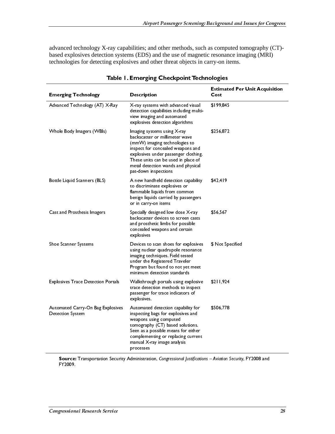advanced technology X-ray capabilities; and other methods, such as computed tomography (CT) based explosives detection systems (EDS) and the use of magnetic resonance imaging (MRI) technologies for detecting explosives and other threat objects in carry-on items.

| <b>Emerging Technology</b>                            | Description                                                                                                                                                                                                                                                                        | <b>Estimated Per Unit Acquisition</b><br>Cost |
|-------------------------------------------------------|------------------------------------------------------------------------------------------------------------------------------------------------------------------------------------------------------------------------------------------------------------------------------------|-----------------------------------------------|
| Advanced Technology (AT) X-Ray                        | X-ray systems with advanced visual<br>detection capabilities including multi-<br>view imaging and automated<br>explosives detection algorithms                                                                                                                                     | \$199,845                                     |
| Whole Body Imagers (WBIs)                             | Imaging systems using $X$ ray<br>backscatter or millimeter wave<br>(mmW) imaging technologies to<br>inspect for concealed weapons and<br>explosives under passenger clothing.<br>These units can be used in place of<br>metal detection wands and physical<br>pat-down inspections | \$256,872                                     |
| Bottle Liquid Scanners (BLS)                          | A new handheld detection capability<br>to discriminate explosives or<br>flammable liquids from common<br>benign liquids carried by passengers<br>or in carry-on items                                                                                                              | \$42,419                                      |
| Cast and Prosthesis Imagers                           | Specially designed low dose X-ray<br>backscatter devices to screen casts<br>and prosthetic limbs for possible<br>concealed weapons and certain<br>explosives                                                                                                                       | \$56,567                                      |
| Shoe Scanner Systems                                  | Devices to scan shoes for explosives<br>using nuclear quadrupole resonance<br>imaging techniques. Field tested<br>under the Registered Traveler<br>Program but found to not yet meet<br>minimum detection standards                                                                | \$ Not Specified                              |
| <b>Explosives Trace Detection Portals</b>             | Walkthrough portals using explosive<br>trace detection methods to inspect<br>passenger for trace indicators of<br>explosives.                                                                                                                                                      | \$211,924                                     |
| Automated Carry-On Bag Explosives<br>Detection System | Automated detection capability for<br>inspecting bags for explosives and<br>weapons using computed<br>tomography (CT) based solutions.<br>Seen as a possible means for either<br>complementing or replacing current<br>manual X-ray image analysis<br>processes                    | \$506,778                                     |

#### Table 1. Emerging Checkpoint Technologies

Source: Transportation Security Administration, Congressional Justifications - Aviation Security, FY2008 and FY2009.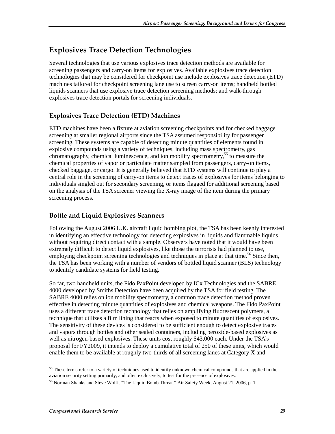### Explosives Trace Detection Technologies

Several technologies that use various explosives trace detection methods are available for screening passengers and carry-on items for explosives. Available explosives trace detection technologies that may be considered for checkpoint use include explosives trace detection (ETD) machines tailored for checkpoint screening lane use to screen carry-on items; handheld bottled liquids scanners that use explosive trace detection screening methods; and walk-through explosives trace detection portals for screening individuals.

#### Explosives Trace Detection (ETD) Machines

ETD machines have been a fixture at aviation screening checkpoints and for checked baggage screening at smaller regional airports since the TSA assumed responsibility for passenger screening. These systems are capable of detecting minute quantities of elements found in explosive compounds using a variety of techniques, including mass spectrometry, gas chromatography, chemical luminescence, and ion mobility spectrometry,<sup>55</sup> to measure the chemical properties of vapor or particulate matter sampled from passengers, carry-on items, checked baggage, or cargo. It is generally believed that ETD systems will continue to play a central role in the screening of carry-on items to detect traces of explosives for items belonging to individuals singled out for secondary screening, or items flagged for additional screening based on the analysis of the TSA screener viewing the X-ray image of the item during the primary screening process.

#### **Bottle and Liquid Explosives Scanners**

Following the August 2006 U.K. aircraft liquid bombing plot, the TSA has been keenly interested in identifying an effective technology for detecting explosives in liquids and flammable liquids without requiring direct contact with a sample. Observers have noted that it would have been extremely difficult to detect liquid explosives, like those the terrorists had planned to use, employing checkpoint screening technologies and techniques in place at that time.<sup>56</sup> Since then, the TSA has been working with a number of vendors of bottled liquid scanner (BLS) technology to identify candidate systems for field testing.

So far, two handheld units, the Fido PaxPoint developed by ICx Technologies and the SABRE 4000 developed by Smiths Detection have been acquired by the TSA for field testing. The SABRE 4000 relies on ion mobility spectrometry, a common trace detection method proven effective in detecting minute quantities of explosives and chemical weapons. The Fido PaxPoint uses a different trace detection technology that relies on amplifying fluorescent polymers, a technique that utilizes a film lining that reacts when exposed to minute quantities of explosives. The sensitivity of these devices is considered to be sufficient enough to detect explosive traces and vapors through bottles and other sealed containers, including peroxide-based explosives as well as nitrogen-based explosives. These units cost roughly \$43,000 each. Under the TSA's proposal for FY2009, it intends to deploy a cumulative total of 250 of these units, which would enable them to be available at roughly two-thirds of all screening lanes at Category X and

 $\overline{a}$ <sup>55</sup> These terms refer to a variety of techniques used to identify unknown chemical compounds that are applied in the aviation security setting primarily, and often exclusively, to test for the presence of explosives.

<sup>56</sup> Norman Shanks and Steve Wolff. "The Liquid Bomb Threat." Air Safety Week, August 21, 2006, p. 1.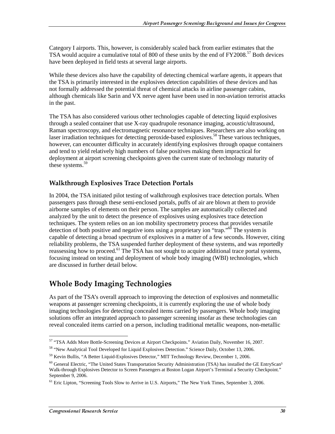Category I airports. This, however, is considerably scaled back from earlier estimates that the TSA would acquire a cumulative total of 800 of these units by the end of FY2008.<sup>57</sup> Both devices have been deployed in field tests at several large airports.

While these devices also have the capability of detecting chemical warfare agents, it appears that the TSA is primarily interested in the explosives detection capabilities of these devices and has not formally addressed the potential threat of chemical attacks in airline passenger cabins, although chemicals like Sarin and VX nerve agent have been used in non-aviation terrorist attacks in the past.

The TSA has also considered various other technologies capable of detecting liquid explosives through a sealed container that use X-ray quadrupole resonance imaging, acoustic/ultrasound, Raman spectroscopy, and electromagnetic resonance techniques. Researchers are also working on laser irradiation techniques for detecting peroxide-based explosives.<sup>58</sup> These various techniques, however, can encounter difficulty in accurately identifying explosives through opaque containers and tend to yield relatively high numbers of false positives making them impractical for deployment at airport screening checkpoints given the current state of technology maturity of these systems.<sup>59</sup>

#### Walkthrough Explosives Trace Detection Portals

In 2004, the TSA initiated pilot testing of walkthrough explosives trace detection portals. When passengers pass through these semi-enclosed portals, puffs of air are blown at them to provide airborne samples of elements on their person. The samples are automatically collected and analyzed by the unit to detect the presence of explosives using explosives trace detection techniques. The system relies on an ion mobility spectrometry process that provides versatile detection of both positive and negative ions using a proprietary ion "trap."<sup>60</sup> The system is capable of detecting a broad spectrum of explosives in a matter of a few seconds. However, citing reliability problems, the TSA suspended further deployment of these systems, and was reportedly reassessing how to proceed.<sup>61</sup> The TSA has not sought to acquire additional trace portal systems, focusing instead on testing and deployment of whole body imaging (WBI) technologies, which are discussed in further detail below.

#### Whole Body Imaging Technologies

As part of the TSA's overall approach to improving the detection of explosives and nonmetallic weapons at passenger screening checkpoints, it is currently exploring the use of whole body imaging technologies for detecting concealed items carried by passengers. Whole body imaging solutions offer an integrated approach to passenger screening insofar as these technologies can reveal concealed items carried on a person, including traditional metallic weapons, non-metallic

 $\overline{a}$ <sup>57</sup> "TSA Adds More Bottle-Screening Devices at Airport Checkpoints." Aviation Daily, November 16, 2007.

<sup>58 &</sup>quot;New Analytical Tool Developed for Liquid Explosives Detection." Science Daily, October 13, 2006.

<sup>&</sup>lt;sup>59</sup> Kevin Bullis, "A Better Liquid-Explosives Detector," MIT Technology Review, December 1, 2006.

 $60$  General Electric, "The United States Transportation Security Administration (TSA) has installed the GE EntryScan<sup>3</sup> Walk-through Explosives Detector to Screen Passengers at Boston Logan Airport's Terminal a Security Checkpoint." September 9, 2006.

 $<sup>61</sup>$  Eric Lipton, "Screening Tools Slow to Arrive in U.S. Airports," The New York Times, September 3, 2006.</sup>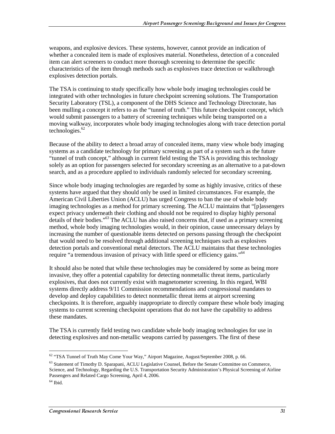weapons, and explosive devices. These systems, however, cannot provide an indication of whether a concealed item is made of explosives material. Nonetheless, detection of a concealed item can alert screeners to conduct more thorough screening to determine the specific characteristics of the item through methods such as explosives trace detection or walkthrough explosives detection portals.

The TSA is continuing to study specifically how whole body imaging technologies could be integrated with other technologies in future checkpoint screening solutions. The Transportation Security Laboratory (TSL), a component of the DHS Science and Technology Directorate, has been mulling a concept it refers to as the "tunnel of truth." This future checkpoint concept, which would submit passengers to a battery of screening techniques while being transported on a moving walkway, incorporates whole body imaging technologies along with trace detection portal technologies. $62$ 

Because of the ability to detect a broad array of concealed items, many view whole body imaging systems as a candidate technology for primary screening as part of a system such as the future "tunnel of truth concept," although in current field testing the TSA is providing this technology solely as an option for passengers selected for secondary screening as an alternative to a pat-down search, and as a procedure applied to individuals randomly selected for secondary screening.

Since whole body imaging technologies are regarded by some as highly invasive, critics of these systems have argued that they should only be used in limited circumstances. For example, the American Civil Liberties Union (ACLU) has urged Congress to ban the use of whole body imaging technologies as a method for primary screening. The ACLU maintains that "[p]assengers expect privacy underneath their clothing and should not be required to display highly personal details of their bodies."<sup>63</sup> The ACLU has also raised concerns that, if used as a primary screening method, whole body imaging technologies would, in their opinion, cause unnecessary delays by increasing the number of questionable items detected on persons passing through the checkpoint that would need to be resolved through additional screening techniques such as explosives detection portals and conventional metal detectors. The ACLU maintains that these technologies require "a tremendous invasion of privacy with little speed or efficiency gains."64

It should also be noted that while these technologies may be considered by some as being more invasive, they offer a potential capability for detecting nonmetallic threat items, particularly explosives, that does not currently exist with magnetometer screening. In this regard, WBI systems directly address 9/11 Commission recommendations and congressional mandates to develop and deploy capabilities to detect nonmetallic threat items at airport screening checkpoints. It is therefore, arguably inappropriate to directly compare these whole body imaging systems to current screening checkpoint operations that do not have the capability to address these mandates.

The TSA is currently field testing two candidate whole body imaging technologies for use in detecting explosives and non-metallic weapons carried by passengers. The first of these

 $\overline{a}$ <sup>62</sup> "TSA Tunnel of Truth May Come Your Way," Airport Magazine, August/September 2008, p. 66.

 $63$  Statement of Timothy D. Sparapani, ACLU Legislative Counsel, Before the Senate Committee on Commerce, Science, and Technology, Regarding the U.S. Transportation Security Administration's Physical Screening of Airline Passengers and Related Cargo Screening, April 4, 2006.

 $64$  Ibid.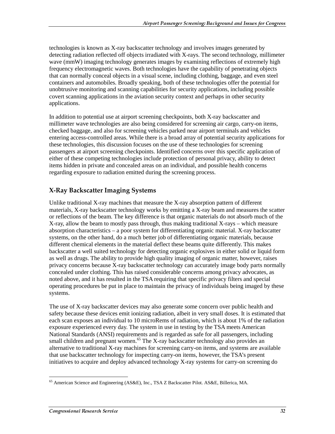technologies is known as X-ray backscatter technology and involves images generated by detecting radiation reflected off objects irradiated with X-rays. The second technology, millimeter wave (mmW) imaging technology generates images by examining reflections of extremely high frequency electromagnetic waves. Both technologies have the capability of penetrating objects that can normally conceal objects in a visual scene, including clothing, baggage, and even steel containers and automobiles. Broadly speaking, both of these technologies offer the potential for unobtrusive monitoring and scanning capabilities for security applications, including possible covert scanning applications in the aviation security context and perhaps in other security applications.

In addition to potential use at airport screening checkpoints, both X-ray backscatter and millimeter wave technologies are also being considered for screening air cargo, carry-on items, checked baggage, and also for screening vehicles parked near airport terminals and vehicles entering access-controlled areas. While there is a broad array of potential security applications for these technologies, this discussion focuses on the use of these technologies for screening passengers at airport screening checkpoints. Identified concerns over this specific application of either of these competing technologies include protection of personal privacy, ability to detect items hidden in private and concealed areas on an individual, and possible health concerns regarding exposure to radiation emitted during the screening process.

#### X-Ray Backscatter Imaging Systems

Unlike traditional X-ray machines that measure the X-ray absorption pattern of different materials, X-ray backscatter technology works by emitting a X-ray beam and measures the scatter or reflections of the beam. The key difference is that organic materials do not absorb much of the X-ray, allow the beam to mostly pass through, thus making traditional X-rays – which measure absorption characteristics – a poor system for differentiating organic material. X-ray backscatter systems, on the other hand, do a much better job of differentiating organic materials, because different chemical elements in the material deflect these beams quite differently. This makes backscatter a well suited technology for detecting organic explosives in either solid or liquid form as well as drugs. The ability to provide high quality imaging of organic matter, however, raises privacy concerns because X-ray backscatter technology can accurately image body parts normally concealed under clothing. This has raised considerable concerns among privacy advocates, as noted above, and it has resulted in the TSA requiring that specific privacy filters and special operating procedures be put in place to maintain the privacy of individuals being imaged by these systems.

The use of X-ray backscatter devices may also generate some concern over public health and safety because these devices emit ionizing radiation, albeit in very small doses. It is estimated that each scan exposes an individual to 10 microRems of radiation, which is about 1% of the radiation exposure experienced every day. The system in use in testing by the TSA meets American National Standards (ANSI) requirements and is regarded as safe for all passengers, including small children and pregnant women.<sup>65</sup> The X-ray backscatter technology also provides an alternative to traditional X-ray machines for screening carry-on items, and systems are available that use backscatter technology for inspecting carry-on items, however, the TSA's present initiatives to acquire and deploy advanced technology X-ray systems for carry-on screening do

 $\overline{a}$ <sup>65</sup> American Science and Engineering (AS&E), Inc., TSA Z Backscatter Pilot. AS&E, Billerica, MA.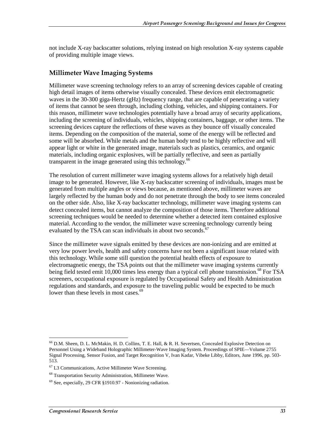not include X-ray backscatter solutions, relying instead on high resolution X-ray systems capable of providing multiple image views.

#### Millimeter Wave Imaging Systems

Millimeter wave screening technology refers to an array of screening devices capable of creating high detail images of items otherwise visually concealed. These devices emit electromagnetic waves in the 30-300 giga-Hertz (gHz) frequency range, that are capable of penetrating a variety of items that cannot be seen through, including clothing, vehicles, and shipping containers. For this reason, millimeter wave technologies potentially have a broad array of security applications, including the screening of individuals, vehicles, shipping containers, baggage, or other items. The screening devices capture the reflections of these waves as they bounce off visually concealed items. Depending on the composition of the material, some of the energy will be reflected and some will be absorbed. While metals and the human body tend to be highly reflective and will appear light or white in the generated image, materials such as plastics, ceramics, and organic materials, including organic explosives, will be partially reflective, and seen as partially transparent in the image generated using this technology.<sup>66</sup>

The resolution of current millimeter wave imaging systems allows for a relatively high detail image to be generated. However, like X-ray backscatter screening of individuals, images must be generated from multiple angles or views because, as mentioned above, millimeter waves are largely reflected by the human body and do not penetrate through the body to see items concealed on the other side. Also, like X-ray backscatter technology, millimeter wave imaging systems can detect concealed items, but cannot analyze the composition of those items. Therefore additional screening techniques would be needed to determine whether a detected item contained explosive material. According to the vendor, the millimeter wave screening technology currently being evaluated by the TSA can scan individuals in about two seconds.<sup>67</sup>

Since the millimeter wave signals emitted by these devices are non-ionizing and are emitted at very low power levels, health and safety concerns have not been a significant issue related with this technology. While some still question the potential health effects of exposure to electromagnetic energy, the TSA points out that the millimeter wave imaging systems currently being field tested emit 10,000 times less energy than a typical cell phone transmission.<sup>68</sup> For TSA screeners, occupational exposure is regulated by Occupational Safety and Health Administration regulations and standards, and exposure to the traveling public would be expected to be much lower than these levels in most cases.<sup>69</sup>

 $\overline{a}$ <sup>66</sup> D.M. Sheen, D. L. McMakin, H. D. Collins, T. E. Hall, & R. H. Severtsen, Concealed Explosive Detection on Personnel Using a Wideband Holographic Millimeter-Wave Imaging System. Proceedings of SPIE—Volume 2755 Signal Processing, Sensor Fusion, and Target Recognition V, Ivan Kadar, Vibeke Libby, Editors, June 1996, pp. 503- 513.

<sup>67</sup> L3 Communications, Active Millimeter Wave Screening.

<sup>68</sup> Transportation Security Administration, Millimeter Wave.

 $69$  See, especially, 29 CFR §1910.97 - Nonionizing radiation.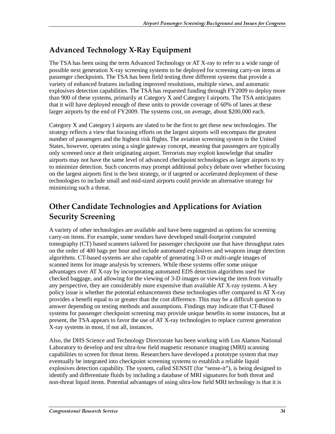### Advanced Technology X-Ray Equipment

The TSA has been using the term Advanced Technology or AT X-ray to refer to a wide range of possible next generation X-ray screening systems to be deployed for screening carry-on items at passenger checkpoints. The TSA has been field testing three different systems that provide a variety of enhanced features including improved resolutions, multiple views, and automatic explosives detection capabilities. The TSA has requested funding through FY2009 to deploy more than 900 of these systems, primarily at Category X and Category I airports. The TSA anticipates that it will have deployed enough of these units to provide coverage of 60% of lanes at these larger airports by the end of FY2009. The systems cost, on average, about \$200,000 each.

Category X and Category I airports are slated to be the first to get these new technologies. The strategy reflects a view that focusing efforts on the largest airports will encompass the greatest number of passengers and the highest risk flights. The aviation screening system in the United States, however, operates using a single gateway concept, meaning that passengers are typically only screened once at their originating airport. Terrorists may exploit knowledge that smaller airports may not have the same level of advanced checkpoint technologies as larger airports to try to minimize detection. Such concerns may prompt additional policy debate over whether focusing on the largest airports first is the best strategy, or if targeted or accelerated deployment of these technologies to include small and mid-sized airports could provide an alternative strategy for minimizing such a threat.

### Other Candidate Technologies and Applications for Aviation **Security Screening**

A variety of other technologies are available and have been suggested as options for screening carry-on items. For example, some vendors have developed small-footprint computed tomography (CT) based scanners tailored for passenger checkpoint use that have throughput rates on the order of 400 bags per hour and include automated explosives and weapons image detection algorithms. CT-based systems are also capable of generating 3-D or multi-angle images of scanned items for image analysis by screeners. While these systems offer some unique advantages over AT X-ray by incorporating automated EDS detection algorithms used for checked baggage, and allowing for the viewing of 3-D images or viewing the item from virtually any perspective, they are considerably more expensive than available AT X-ray systems. A key policy issue is whether the potential enhancements these technologies offer compared to AT X-ray provides a benefit equal to or greater than the cost difference. This may be a difficult question to answer depending on testing methods and assumptions. Findings may indicate that CT-Based systems for passenger checkpoint screening may provide unique benefits in some instances, but at present, the TSA appears to favor the use of AT X-ray technologies to replace current generation X-ray systems in most, if not all, instances.

Also, the DHS Science and Technology Directorate has been working with Los Alamos National Laboratory to develop and test ultra-low field magnetic resonance imaging (MRI) scanning capabilities to screen for threat items. Researchers have developed a prototype system that may eventually be integrated into checkpoint screening systems to establish a reliable liquid explosives detection capability. The system, called SENSIT (for "sense-it"), is being designed to identify and differentiate fluids by including a database of MRI signatures for both threat and non-threat liquid items. Potential advantages of using ultra-low field MRI technology is that it is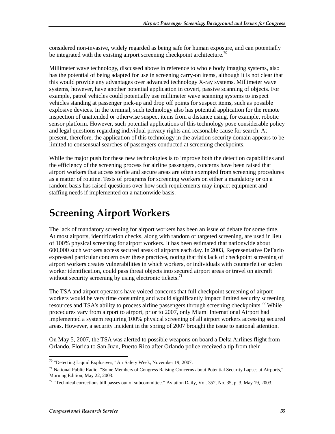considered non-invasive, widely regarded as being safe for human exposure, and can potentially be integrated with the existing airport screening checkpoint architecture.<sup>70</sup>

Millimeter wave technology, discussed above in reference to whole body imaging systems, also has the potential of being adapted for use in screening carry-on items, although it is not clear that this would provide any advantages over advanced technology X-ray systems. Millimeter wave systems, however, have another potential application in covert, passive scanning of objects. For example, patrol vehicles could potentially use millimeter wave scanning systems to inspect vehicles standing at passenger pick-up and drop off points for suspect items, such as possible explosive devices. In the terminal, such technology also has potential application for the remote inspection of unattended or otherwise suspect items from a distance using, for example, robotic sensor platform. However, such potential applications of this technology pose considerable policy and legal questions regarding individual privacy rights and reasonable cause for search. At present, therefore, the application of this technology in the aviation security domain appears to be limited to consensual searches of passengers conducted at screening checkpoints.

While the major push for these new technologies is to improve both the detection capabilities and the efficiency of the screening process for airline passengers, concerns have been raised that airport workers that access sterile and secure areas are often exempted from screening procedures as a matter of routine. Tests of programs for screening workers on either a mandatory or on a random basis has raised questions over how such requirements may impact equipment and staffing needs if implemented on a nationwide basis.

# **Screening Airport Workers**

The lack of mandatory screening for airport workers has been an issue of debate for some time. At most airports, identification checks, along with random or targeted screening, are used in lieu of 100% physical screening for airport workers. It has been estimated that nationwide about 600,000 such workers access secured areas of airports each day. In 2003, Representative DeFazio expressed particular concern over these practices, noting that this lack of checkpoint screening of airport workers creates vulnerabilities in which workers, or individuals with counterfeit or stolen worker identification, could pass threat objects into secured airport areas or travel on aircraft without security screening by using electronic tickets. $^{71}$ 

The TSA and airport operators have voiced concerns that full checkpoint screening of airport workers would be very time consuming and would significantly impact limited security screening resources and TSA's ability to process airline passengers through screening checkpoints.<sup>72</sup> While procedures vary from airport to airport, prior to 2007, only Miami International Airport had implemented a system requiring 100% physical screening of all airport workers accessing secured areas. However, a security incident in the spring of 2007 brought the issue to national attention.

On May 5, 2007, the TSA was alerted to possible weapons on board a Delta Airlines flight from Orlando, Florida to San Juan, Puerto Rico after Orlando police received a tip from their

 $70$  "Detecting Liquid Explosives," Air Safety Week, November 19, 2007.

<sup>&</sup>lt;sup>71</sup> National Public Radio. "Some Members of Congress Raising Concerns about Potential Security Lapses at Airports," Morning Edition, May 22, 2003.

<sup>&</sup>lt;sup>72</sup> "Technical corrections bill passes out of subcommittee." Aviation Daily, Vol. 352, No. 35, p. 3, May 19, 2003.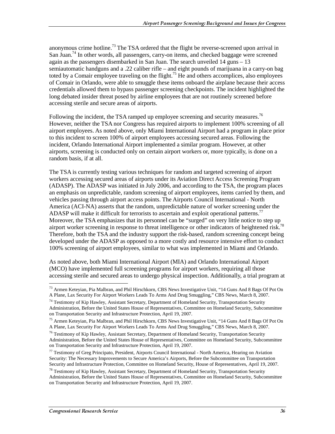anonymous crime hotline.<sup>73</sup> The TSA ordered that the flight be reverse-screened upon arrival in San Juan.<sup>74</sup> In other words, all passengers, carry-on items, and checked baggage were screened again as the passengers disembarked in San Juan. The search unveiled 14 guns – 13 semiautomatic handguns and a .22 caliber rifle – and eight pounds of marijuana in a carry-on bag toted by a Comair employee traveling on the flight.<sup>75</sup> He and others accomplices, also employees of Comair in Orlando, were able to smuggle these items onboard the airplane because their access credentials allowed them to bypass passenger screening checkpoints. The incident highlighted the long debated insider threat posed by airline employees that are not routinely screened before accessing sterile and secure areas of airports.

Following the incident, the TSA ramped up employee screening and security measures.<sup>76</sup> However, neither the TSA nor Congress has required airports to implement 100% screening of all airport employees. As noted above, only Miami International Airport had a program in place prior to this incident to screen 100% of airport employees accessing secured areas. Following the incident, Orlando International Airport implemented a similar program. However, at other airports, screening is conducted only on certain airport workers or, more typically, is done on a random basis, if at all.

The TSA is currently testing various techniques for random and targeted screening of airport workers accessing secured areas of airports under its Aviation Direct Access Screening Program (ADASP). The ADASP was initiated in July 2006, and according to the TSA, the program places an emphasis on unpredictable, random screening of airport employees, items carried by them, and vehicles passing through airport access points. The Airports Council International - North America (ACI-NA) asserts that the random, unpredictable nature of worker screening under the ADASP will make it difficult for terrorists to ascertain and exploit operational patterns.<sup>77</sup> Moreover, the TSA emphasizes that its personnel can be "surged" on very little notice to step up airport worker screening in response to threat intelligence or other indicators of heightened risk.<sup>78</sup> Therefore, both the TSA and the industry support the risk-based, random screening concept being developed under the ADASP as opposed to a more costly and resource intensive effort to conduct 100% screening of airport employees, similar to what was implemented in Miami and Orlando.

As noted above, both Miami International Airport (MIA) and Orlando International Airport (MCO) have implemented full screening programs for airport workers, requiring all those accessing sterile and secured areas to undergo physical inspection. Additionally, a trial program at

 $\overline{a}$ <sup>73</sup> Armen Keteyian, Pia Malbran, and Phil Hirschkorn, CBS News Investigative Unit, "14 Guns And 8 Bags Of Pot On A Plane, Lax Security For Airport Workers Leads To Arms And Drug Smuggling," CBS News, March 8, 2007.

 $74$  Testimony of Kip Hawley, Assistant Secretary, Department of Homeland Security, Transportation Security Administration, Before the United States House of Representatives, Committee on Homeland Security, Subcommittee on Transportation Security and Infrastructure Protection, April 19, 2007.

<sup>75</sup> Armen Keteyian, Pia Malbran, and Phil Hirschkorn, CBS News Investigative Unit, "14 Guns And 8 Bags Of Pot On A Plane, Lax Security For Airport Workers Leads To Arms And Drug Smuggling," CBS News, March 8, 2007.

<sup>&</sup>lt;sup>76</sup> Testimony of Kip Hawley, Assistant Secretary, Department of Homeland Security, Transportation Security Administration, Before the United States House of Representatives, Committee on Homeland Security, Subcommittee on Transportation Security and Infrastructure Protection, April 19, 2007.

<sup>&</sup>lt;sup>77</sup> Testimony of Greg Principato, President, Airports Council International - North America, Hearing on Aviation Security: The Necessary Improvements to Secure America's Airports, Before the Subcommittee on Transportation Security and Infrastructure Protection, Committee on Homeland Security, House of Representatives, April 19, 2007.

<sup>&</sup>lt;sup>78</sup> Testimony of Kip Hawley, Assistant Secretary, Department of Homeland Security, Transportation Security Administration, Before the United States House of Representatives, Committee on Homeland Security, Subcommittee on Transportation Security and Infrastructure Protection, April 19, 2007.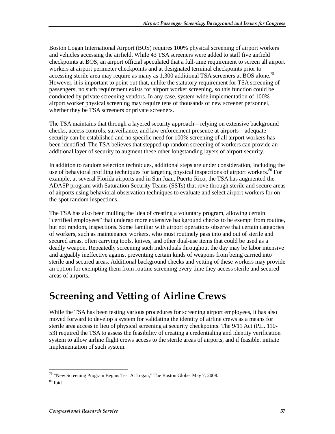Boston Logan International Airport (BOS) requires 100% physical screening of airport workers and vehicles accessing the airfield. While 43 TSA screeners were added to staff five airfield checkpoints at BOS, an airport official speculated that a full-time requirement to screen all airport workers at airport perimeter checkpoints and at designated terminal checkpoints prior to accessing sterile area may require as many as 1,300 additional TSA screeners at BOS alone.<sup>79</sup> However, it is important to point out that, unlike the statutory requirement for TSA screening of passengers, no such requirement exists for airport worker screening, so this function could be conducted by private screening vendors. In any case, system-wide implementation of 100% airport worker physical screening may require tens of thousands of new screener personnel, whether they be TSA screeners or private screeners.

The TSA maintains that through a layered security approach – relying on extensive background checks, access controls, surveillance, and law enforcement presence at airports – adequate security can be established and no specific need for 100% screening of all airport workers has been identified. The TSA believes that stepped up random screening of workers can provide an additional layer of security to augment these other longstanding layers of airport security.

In addition to random selection techniques, additional steps are under consideration, including the use of behavioral profiling techniques for targeting physical inspections of airport workers.<sup>80</sup> For example, at several Florida airports and in San Juan, Puerto Rico, the TSA has augmented the ADASP program with Saturation Security Teams (SSTs) that rove through sterile and secure areas of airports using behavioral observation techniques to evaluate and select airport workers for onthe-spot random inspections.

The TSA has also been mulling the idea of creating a voluntary program, allowing certain "certified employees" that undergo more extensive background checks to be exempt from routine, but not random, inspections. Some familiar with airport operations observe that certain categories of workers, such as maintenance workers, who must routinely pass into and out of sterile and secured areas, often carrying tools, knives, and other dual-use items that could be used as a deadly weapon. Repeatedly screening such individuals throughout the day may be labor intensive and arguably ineffective against preventing certain kinds of weapons from being carried into sterile and secured areas. Additional background checks and vetting of these workers may provide an option for exempting them from routine screening every time they access sterile and secured areas of airports.

### Screening and Vetting of Airline Crews

While the TSA has been testing various procedures for screening airport employees, it has also moved forward to develop a system for validating the identity of airline crews as a means for sterile area access in lieu of physical screening at security checkpoints. The 9/11 Act (P.L. 110- 53) required the TSA to assess the feasibility of creating a credentialing and identity verification system to allow airline flight crews access to the sterile areas of airports, and if feasible, initiate implementation of such system.

 $\overline{a}$ <sup>79</sup> "New Screening Program Begins Test At Logan," The Boston Globe, May 7, 2008.

 $80$  Ibid.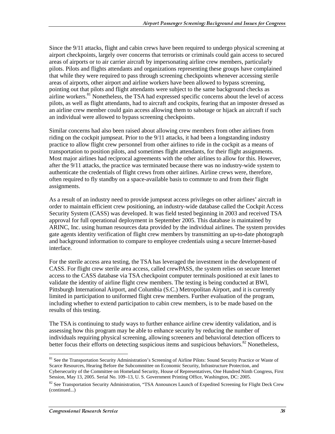Since the 9/11 attacks, flight and cabin crews have been required to undergo physical screening at airport checkpoints, largely over concerns that terrorists or criminals could gain access to secured areas of airports or to air carrier aircraft by impersonating airline crew members, particularly pilots. Pilots and flights attendants and organizations representing these groups have complained that while they were required to pass through screening checkpoints whenever accessing sterile areas of airports, other airport and airline workers have been allowed to bypass screening, pointing out that pilots and flight attendants were subject to the same background checks as airline workers.<sup>81</sup> Nonetheless, the TSA had expressed specific concerns about the level of access pilots, as well as flight attendants, had to aircraft and cockpits, fearing that an imposter dressed as an airline crew member could gain access allowing them to sabotage or hijack an aircraft if such an individual were allowed to bypass screening checkpoints.

Similar concerns had also been raised about allowing crew members from other airlines from riding on the cockpit jumpseat. Prior to the 9/11 attacks, it had been a longstanding industry practice to allow flight crew personnel from other airlines to ride in the cockpit as a means of transportation to position pilots, and sometimes flight attendants, for their flight assignments. Most major airlines had reciprocal agreements with the other airlines to allow for this. However, after the 9/11 attacks, the practice was terminated because there was no industry-wide system to authenticate the credentials of flight crews from other airlines. Airline crews were, therefore, often required to fly standby on a space-available basis to commute to and from their flight assignments.

As a result of an industry need to provide jumpseat access privileges on other airlines' aircraft in order to maintain efficient crew positioning, an industry-wide database called the Cockpit Access Security System (CASS) was developed. It was field tested beginning in 2003 and received TSA approval for full operational deployment in September 2005. This database is maintained by ARINC, Inc. using human resources data provided by the individual airlines. The system provides gate agents identity verification of flight crew members by transmitting an up-to-date photograph and background information to compare to employee credentials using a secure Internet-based interface.

For the sterile access area testing, the TSA has leveraged the investment in the development of CASS. For flight crew sterile area access, called crewPASS, the system relies on secure Internet access to the CASS database via TSA checkpoint computer terminals positioned at exit lanes to validate the identity of airline flight crew members. The testing is being conducted at BWI, Pittsburgh International Airport, and Columbia (S.C.) Metropolitan Airport, and it is currently limited in participation to uniformed flight crew members. Further evaluation of the program, including whether to extend participation to cabin crew members, is to be made based on the results of this testing.

The TSA is continuing to study ways to further enhance airline crew identity validation, and is assessing how this program may be able to enhance security by reducing the number of individuals requiring physical screening, allowing screeners and behavioral detection officers to better focus their efforts on detecting suspicious items and suspicious behaviors.<sup>82</sup> Nonetheless,

<sup>81</sup> See the Transportation Security Administration's Screening of Airline Pilots: Sound Security Practice or Waste of Scarce Resources, Hearing Before the Subcommittee on Economic Security, Infrastructure Protection, and Cybersecurity of the Committee on Homeland Security, House of Representatives, One Hundred Ninth Congress, First Session, May 13, 2005. Serial No. 109–13, U. S. Government Printing Office, Washington, DC: 2005.

 $82$  See Transportation Security Administration, "TSA Announces Launch of Expedited Screening for Flight Deck Crew (continued...)